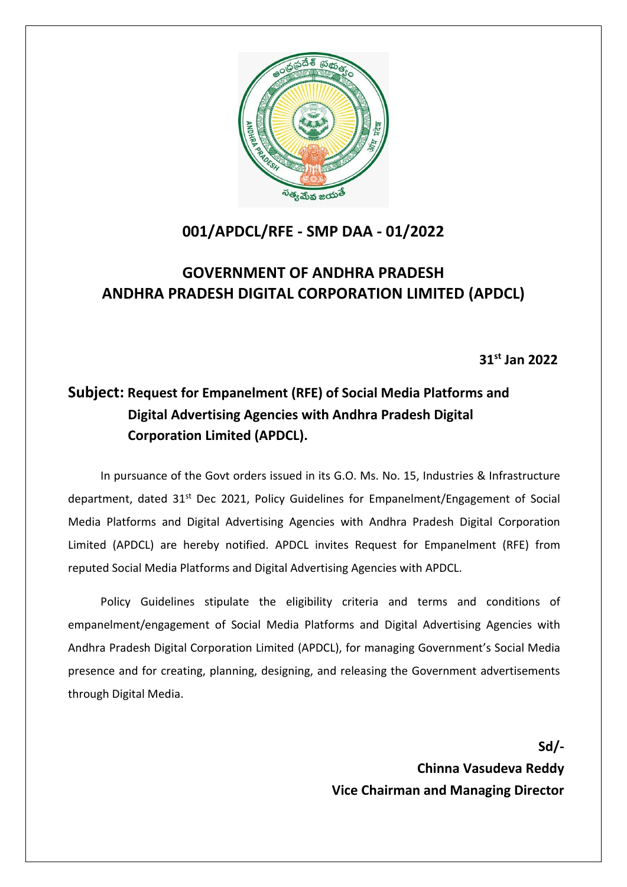

# **001/APDCL/RFE - SMP DAA - 01/2022**

# **GOVERNMENT OF ANDHRA PRADESH ANDHRA PRADESH DIGITAL CORPORATION LIMITED (APDCL)**

**31st Jan 2022**

# **Subject: Request for Empanelment (RFE) of Social Media Platforms and Digital Advertising Agencies with Andhra Pradesh Digital Corporation Limited (APDCL).**

In pursuance of the Govt orders issued in its G.O. Ms. No. 15, Industries & Infrastructure department, dated 31<sup>st</sup> Dec 2021, Policy Guidelines for Empanelment/Engagement of Social Media Platforms and Digital Advertising Agencies with Andhra Pradesh Digital Corporation Limited (APDCL) are hereby notified. APDCL invites Request for Empanelment (RFE) from reputed Social Media Platforms and Digital Advertising Agencies with APDCL.

Policy Guidelines stipulate the eligibility criteria and terms and conditions of empanelment/engagement of Social Media Platforms and Digital Advertising Agencies with Andhra Pradesh Digital Corporation Limited (APDCL), for managing Government's Social Media presence and for creating, planning, designing, and releasing the Government advertisements through Digital Media.

**Sd/-**

**Chinna Vasudeva Reddy Vice Chairman and Managing Director**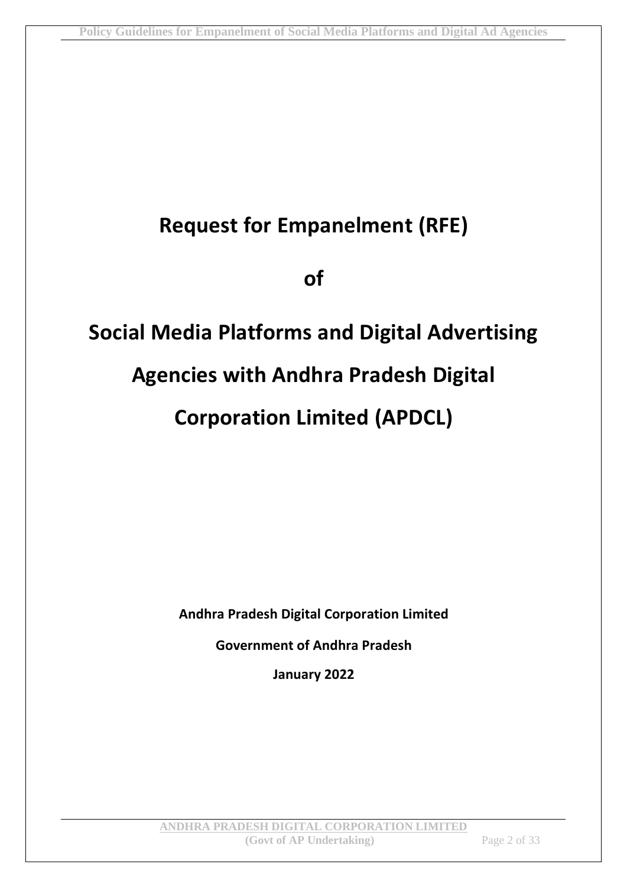# **Request for Empanelment (RFE)**

**of**

# **Social Media Platforms and Digital Advertising Agencies with Andhra Pradesh Digital Corporation Limited (APDCL)**

**Andhra Pradesh Digital Corporation Limited**

**Government of Andhra Pradesh**

**January 2022**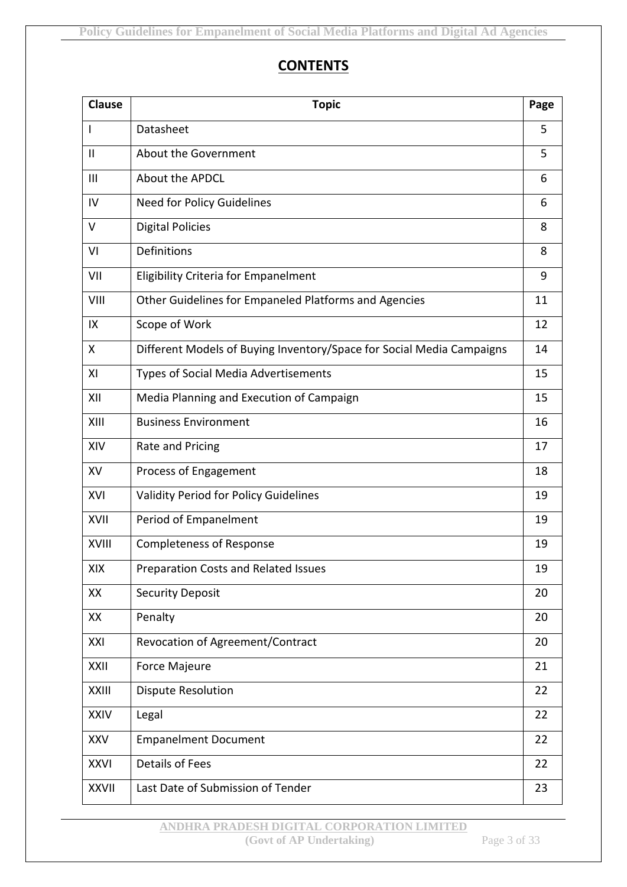### **CONTENTS**

| <b>Clause</b>  | <b>Topic</b>                                                          | Page |
|----------------|-----------------------------------------------------------------------|------|
| I              | Datasheet                                                             | 5    |
| $\mathbf{I}$   | About the Government                                                  | 5    |
| $\mathbf{III}$ | About the APDCL                                                       | 6    |
| IV             | Need for Policy Guidelines                                            | 6    |
| $\vee$         | <b>Digital Policies</b>                                               | 8    |
| VI             | Definitions                                                           | 8    |
| VII            | <b>Eligibility Criteria for Empanelment</b>                           | 9    |
| VIII           | Other Guidelines for Empaneled Platforms and Agencies                 | 11   |
| IX             | Scope of Work                                                         | 12   |
| X              | Different Models of Buying Inventory/Space for Social Media Campaigns | 14   |
| XI             | <b>Types of Social Media Advertisements</b>                           | 15   |
| XII            | Media Planning and Execution of Campaign                              | 15   |
| XIII           | <b>Business Environment</b>                                           | 16   |
| XIV            | Rate and Pricing                                                      | 17   |
| XV             | Process of Engagement                                                 | 18   |
| XVI            | Validity Period for Policy Guidelines                                 | 19   |
| XVII           | Period of Empanelment                                                 | 19   |
| <b>XVIII</b>   | <b>Completeness of Response</b>                                       | 19   |
| XIX            | Preparation Costs and Related Issues                                  | 19   |
| XX             | <b>Security Deposit</b>                                               | 20   |
| XX             | Penalty                                                               | 20   |
| XXI            | Revocation of Agreement/Contract                                      | 20   |
| XXII           | <b>Force Majeure</b>                                                  | 21   |
| <b>XXIII</b>   | <b>Dispute Resolution</b>                                             | 22   |
| <b>XXIV</b>    | Legal                                                                 | 22   |
| <b>XXV</b>     | <b>Empanelment Document</b>                                           | 22   |
| <b>XXVI</b>    | <b>Details of Fees</b>                                                | 22   |
| <b>XXVII</b>   | Last Date of Submission of Tender                                     | 23   |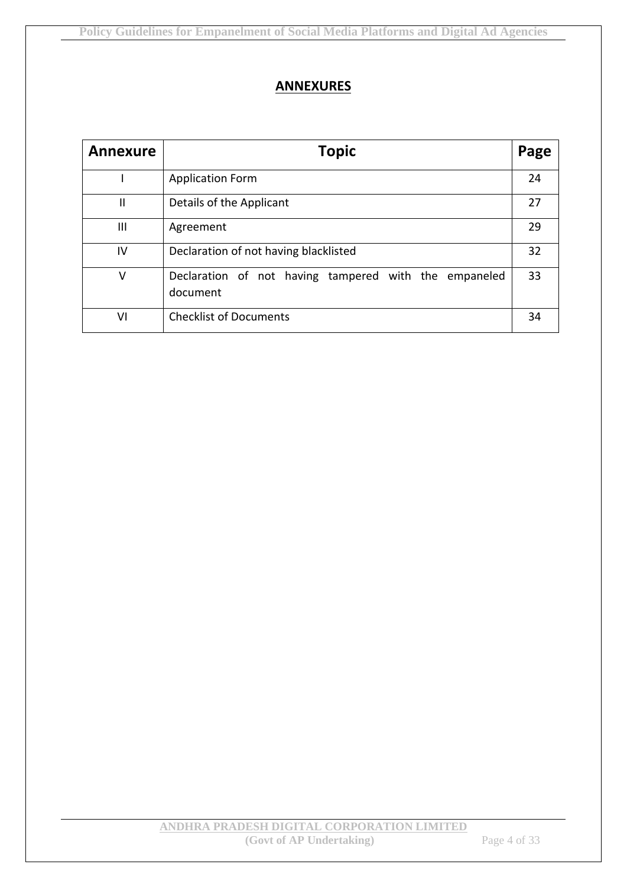#### **ANNEXURES**

| <b>Annexure</b> | <b>Topic</b>                                                      | Page |
|-----------------|-------------------------------------------------------------------|------|
|                 | <b>Application Form</b>                                           | 24   |
| $\mathbf{I}$    | Details of the Applicant                                          | 27   |
| Ш               | Agreement                                                         | 29   |
| IV              | Declaration of not having blacklisted                             | 32   |
| $\vee$          | Declaration of not having tampered with the empaneled<br>document | 33   |
| ٧I              | <b>Checklist of Documents</b>                                     | 34   |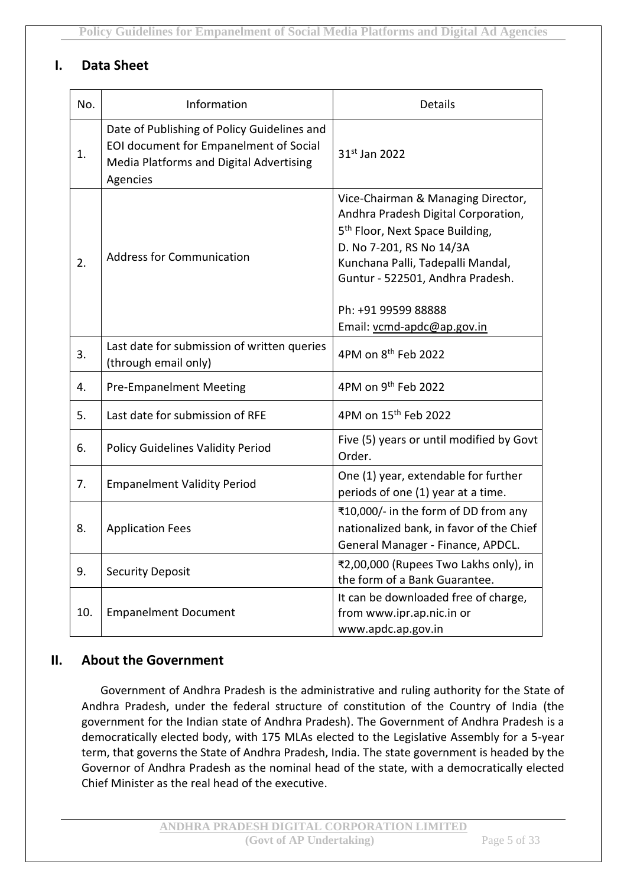#### **I. Data Sheet**

| No. | Information                                                                                                                                  | <b>Details</b>                                                                                                                                                                                                                                                                     |
|-----|----------------------------------------------------------------------------------------------------------------------------------------------|------------------------------------------------------------------------------------------------------------------------------------------------------------------------------------------------------------------------------------------------------------------------------------|
| 1.  | Date of Publishing of Policy Guidelines and<br>EOI document for Empanelment of Social<br>Media Platforms and Digital Advertising<br>Agencies | 31st Jan 2022                                                                                                                                                                                                                                                                      |
| 2.  | <b>Address for Communication</b>                                                                                                             | Vice-Chairman & Managing Director,<br>Andhra Pradesh Digital Corporation,<br>5 <sup>th</sup> Floor, Next Space Building,<br>D. No 7-201, RS No 14/3A<br>Kunchana Palli, Tadepalli Mandal,<br>Guntur - 522501, Andhra Pradesh.<br>Ph: +91 99599 88888<br>Email: vcmd-apdc@ap.gov.in |
| 3.  | Last date for submission of written queries<br>(through email only)                                                                          | 4PM on 8 <sup>th</sup> Feb 2022                                                                                                                                                                                                                                                    |
| 4.  | <b>Pre-Empanelment Meeting</b>                                                                                                               | 4PM on 9 <sup>th</sup> Feb 2022                                                                                                                                                                                                                                                    |
| 5.  | Last date for submission of RFE                                                                                                              | 4PM on 15 <sup>th</sup> Feb 2022                                                                                                                                                                                                                                                   |
| 6.  | <b>Policy Guidelines Validity Period</b>                                                                                                     | Five (5) years or until modified by Govt<br>Order.                                                                                                                                                                                                                                 |
| 7.  | <b>Empanelment Validity Period</b>                                                                                                           | One (1) year, extendable for further<br>periods of one (1) year at a time.                                                                                                                                                                                                         |
| 8.  | <b>Application Fees</b>                                                                                                                      | ₹10,000/- in the form of DD from any<br>nationalized bank, in favor of the Chief<br>General Manager - Finance, APDCL.                                                                                                                                                              |
| 9.  | <b>Security Deposit</b>                                                                                                                      | ₹2,00,000 (Rupees Two Lakhs only), in<br>the form of a Bank Guarantee.                                                                                                                                                                                                             |
| 10. | <b>Empanelment Document</b>                                                                                                                  | It can be downloaded free of charge,<br>from www.ipr.ap.nic.in or<br>www.apdc.ap.gov.in                                                                                                                                                                                            |

#### **II. About the Government**

Government of Andhra Pradesh is the administrative and ruling authority for the State of Andhra Pradesh, under the federal structure of constitution of the Country of India (the government for the Indian state of Andhra Pradesh). The Government of Andhra Pradesh is a democratically elected body, with 175 MLAs elected to the Legislative Assembly for a 5-year term, that governs the State of Andhra Pradesh, India. The state government is headed by the Governor of Andhra Pradesh as the nominal head of the state, with a democratically elected Chief Minister as the real head of the executive.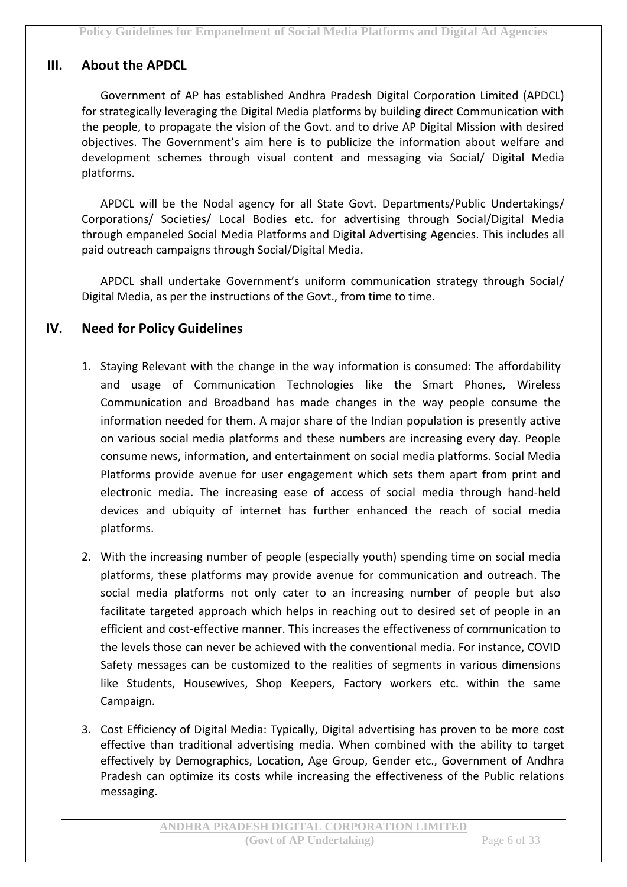#### **III. About the APDCL**

Government of AP has established Andhra Pradesh Digital Corporation Limited (APDCL) for strategically leveraging the Digital Media platforms by building direct Communication with the people, to propagate the vision of the Govt. and to drive AP Digital Mission with desired objectives. The Government's aim here is to publicize the information about welfare and development schemes through visual content and messaging via Social/ Digital Media platforms.

APDCL will be the Nodal agency for all State Govt. Departments/Public Undertakings/ Corporations/ Societies/ Local Bodies etc. for advertising through Social/Digital Media through empaneled Social Media Platforms and Digital Advertising Agencies. This includes all paid outreach campaigns through Social/Digital Media.

APDCL shall undertake Government's uniform communication strategy through Social/ Digital Media, as per the instructions of the Govt., from time to time.

#### **IV. Need for Policy Guidelines**

- 1. Staying Relevant with the change in the way information is consumed: The affordability and usage of Communication Technologies like the Smart Phones, Wireless Communication and Broadband has made changes in the way people consume the information needed for them. A major share of the Indian population is presently active on various social media platforms and these numbers are increasing every day. People consume news, information, and entertainment on social media platforms. Social Media Platforms provide avenue for user engagement which sets them apart from print and electronic media. The increasing ease of access of social media through hand-held devices and ubiquity of internet has further enhanced the reach of social media platforms.
- 2. With the increasing number of people (especially youth) spending time on social media platforms, these platforms may provide avenue for communication and outreach. The social media platforms not only cater to an increasing number of people but also facilitate targeted approach which helps in reaching out to desired set of people in an efficient and cost-effective manner. This increases the effectiveness of communication to the levels those can never be achieved with the conventional media. For instance, COVID Safety messages can be customized to the realities of segments in various dimensions like Students, Housewives, Shop Keepers, Factory workers etc. within the same Campaign.
- 3. Cost Efficiency of Digital Media: Typically, Digital advertising has proven to be more cost effective than traditional advertising media. When combined with the ability to target effectively by Demographics, Location, Age Group, Gender etc., Government of Andhra Pradesh can optimize its costs while increasing the effectiveness of the Public relations messaging.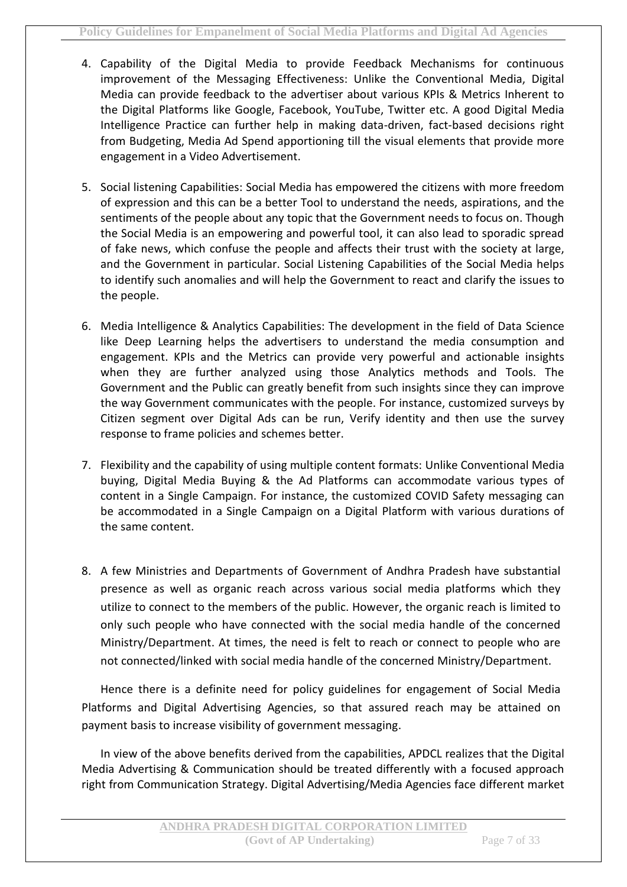- 4. Capability of the Digital Media to provide Feedback Mechanisms for continuous improvement of the Messaging Effectiveness: Unlike the Conventional Media, Digital Media can provide feedback to the advertiser about various KPIs & Metrics Inherent to the Digital Platforms like Google, Facebook, YouTube, Twitter etc. A good Digital Media Intelligence Practice can further help in making data-driven, fact-based decisions right from Budgeting, Media Ad Spend apportioning till the visual elements that provide more engagement in a Video Advertisement.
- 5. Social listening Capabilities: Social Media has empowered the citizens with more freedom of expression and this can be a better Tool to understand the needs, aspirations, and the sentiments of the people about any topic that the Government needs to focus on. Though the Social Media is an empowering and powerful tool, it can also lead to sporadic spread of fake news, which confuse the people and affects their trust with the society at large, and the Government in particular. Social Listening Capabilities of the Social Media helps to identify such anomalies and will help the Government to react and clarify the issues to the people.
- 6. Media Intelligence & Analytics Capabilities: The development in the field of Data Science like Deep Learning helps the advertisers to understand the media consumption and engagement. KPIs and the Metrics can provide very powerful and actionable insights when they are further analyzed using those Analytics methods and Tools. The Government and the Public can greatly benefit from such insights since they can improve the way Government communicates with the people. For instance, customized surveys by Citizen segment over Digital Ads can be run, Verify identity and then use the survey response to frame policies and schemes better.
- 7. Flexibility and the capability of using multiple content formats: Unlike Conventional Media buying, Digital Media Buying & the Ad Platforms can accommodate various types of content in a Single Campaign. For instance, the customized COVID Safety messaging can be accommodated in a Single Campaign on a Digital Platform with various durations of the same content.
- 8. A few Ministries and Departments of Government of Andhra Pradesh have substantial presence as well as organic reach across various social media platforms which they utilize to connect to the members of the public. However, the organic reach is limited to only such people who have connected with the social media handle of the concerned Ministry/Department. At times, the need is felt to reach or connect to people who are not connected/linked with social media handle of the concerned Ministry/Department.

Hence there is a definite need for policy guidelines for engagement of Social Media Platforms and Digital Advertising Agencies, so that assured reach may be attained on payment basis to increase visibility of government messaging.

In view of the above benefits derived from the capabilities, APDCL realizes that the Digital Media Advertising & Communication should be treated differently with a focused approach right from Communication Strategy. Digital Advertising/Media Agencies face different market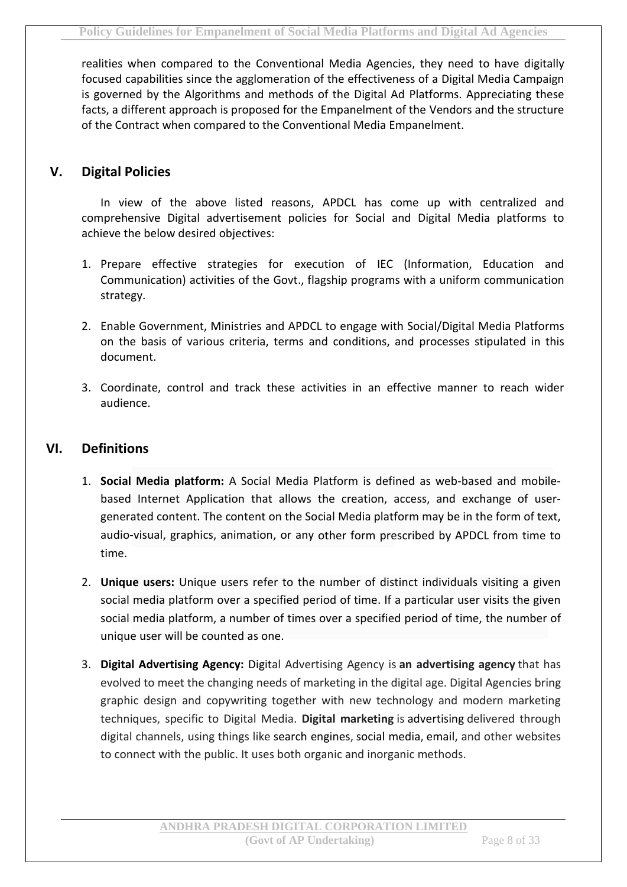realities when compared to the Conventional Media Agencies, they need to have digitally focused capabilities since the agglomeration of the effectiveness of a Digital Media Campaign is governed by the Algorithms and methods of the Digital Ad Platforms. Appreciating these facts, a different approach is proposed for the Empanelment of the Vendors and the structure of the Contract when compared to the Conventional Media Empanelment.

#### **V. Digital Policies**

In view of the above listed reasons, APDCL has come up with centralized and comprehensive Digital advertisement policies for Social and Digital Media platforms to achieve the below desired objectives:

- 1. Prepare effective strategies for execution of IEC (Information, Education and Communication) activities of the Govt., flagship programs with a uniform communication strategy.
- 2. Enable Government, Ministries and APDCL to engage with Social/Digital Media Platforms on the basis of various criteria, terms and conditions, and processes stipulated in this document.
- 3. Coordinate, control and track these activities in an effective manner to reach wider audience.

#### **VI. Definitions**

- 1. **Social Media platform:** A Social Media Platform is defined as web-based and mobilebased Internet Application that allows the creation, access, and exchange of usergenerated content. The content on the Social Media platform may be in the form of text, audio-visual, graphics, animation, or any other form prescribed by APDCL from time to time.
- 2. **Unique users:** Unique users refer to the number of distinct individuals visiting a given social media platform over a specified period of time. If a particular user visits the given social media platform, a number of times over a specified period of time, the number of unique user will be counted as one.
- 3. **Digital Advertising Agency:** Digital Advertising Agency is **an advertising agency** that has evolved to meet the changing needs of marketing in the digital age. Digital Agencies bring graphic design and copywriting together with new technology and modern marketing techniques, specific to Digital Media. **Digital marketing** is advertising delivered through digital channels, using things like search engines, social media, email, and other websites to connect with the public. It uses both organic and inorganic methods.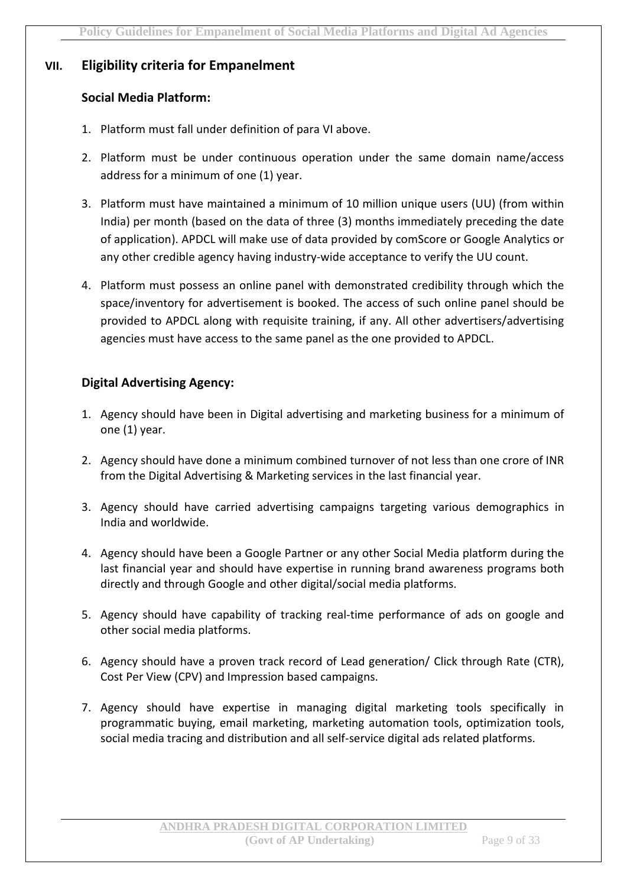#### **VII. Eligibility criteria for Empanelment**

#### **Social Media Platform:**

- 1. Platform must fall under definition of para VI above.
- 2. Platform must be under continuous operation under the same domain name/access address for a minimum of one (1) year.
- 3. Platform must have maintained a minimum of 10 million unique users (UU) (from within India) per month (based on the data of three (3) months immediately preceding the date of application). APDCL will make use of data provided by comScore or Google Analytics or any other credible agency having industry-wide acceptance to verify the UU count.
- 4. Platform must possess an online panel with demonstrated credibility through which the space/inventory for advertisement is booked. The access of such online panel should be provided to APDCL along with requisite training, if any. All other advertisers/advertising agencies must have access to the same panel as the one provided to APDCL.

#### **Digital Advertising Agency:**

- 1. Agency should have been in Digital advertising and marketing business for a minimum of one (1) year.
- 2. Agency should have done a minimum combined turnover of not less than one crore of INR from the Digital Advertising & Marketing services in the last financial year.
- 3. Agency should have carried advertising campaigns targeting various demographics in India and worldwide.
- 4. Agency should have been a Google Partner or any other Social Media platform during the last financial year and should have expertise in running brand awareness programs both directly and through Google and other digital/social media platforms.
- 5. Agency should have capability of tracking real-time performance of ads on google and other social media platforms.
- 6. Agency should have a proven track record of Lead generation/ Click through Rate (CTR), Cost Per View (CPV) and Impression based campaigns.
- 7. Agency should have expertise in managing digital marketing tools specifically in programmatic buying, email marketing, marketing automation tools, optimization tools, social media tracing and distribution and all self-service digital ads related platforms.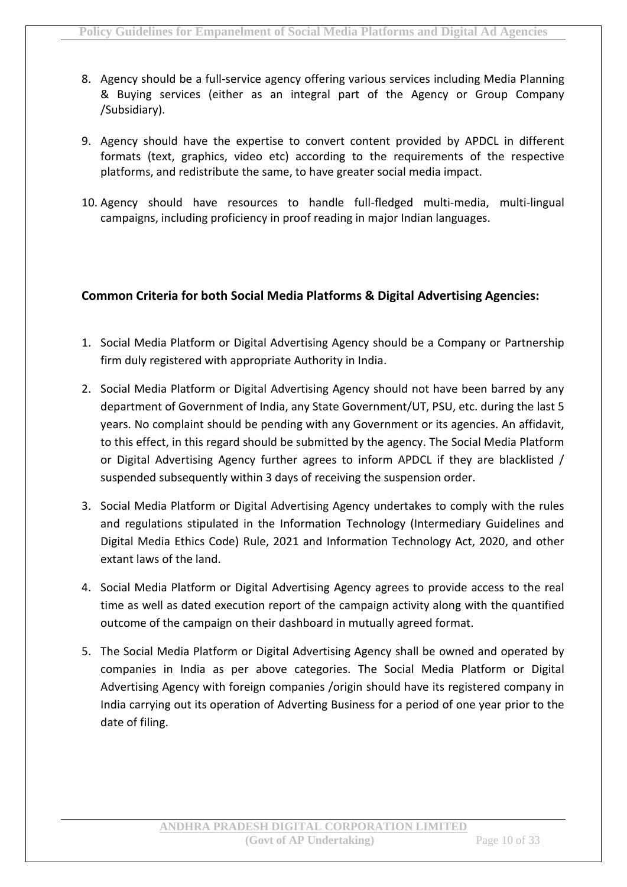- 8. Agency should be a full-service agency offering various services including Media Planning & Buying services (either as an integral part of the Agency or Group Company /Subsidiary).
- 9. Agency should have the expertise to convert content provided by APDCL in different formats (text, graphics, video etc) according to the requirements of the respective platforms, and redistribute the same, to have greater social media impact.
- 10. Agency should have resources to handle full-fledged multi-media, multi-lingual campaigns, including proficiency in proof reading in major Indian languages.

#### **Common Criteria for both Social Media Platforms & Digital Advertising Agencies:**

- 1. Social Media Platform or Digital Advertising Agency should be a Company or Partnership firm duly registered with appropriate Authority in India.
- 2. Social Media Platform or Digital Advertising Agency should not have been barred by any department of Government of India, any State Government/UT, PSU, etc. during the last 5 years. No complaint should be pending with any Government or its agencies. An affidavit, to this effect, in this regard should be submitted by the agency. The Social Media Platform or Digital Advertising Agency further agrees to inform APDCL if they are blacklisted / suspended subsequently within 3 days of receiving the suspension order.
- 3. Social Media Platform or Digital Advertising Agency undertakes to comply with the rules and regulations stipulated in the Information Technology (Intermediary Guidelines and Digital Media Ethics Code) Rule, 2021 and Information Technology Act, 2020, and other extant laws of the land.
- 4. Social Media Platform or Digital Advertising Agency agrees to provide access to the real time as well as dated execution report of the campaign activity along with the quantified outcome of the campaign on their dashboard in mutually agreed format.
- 5. The Social Media Platform or Digital Advertising Agency shall be owned and operated by companies in India as per above categories. The Social Media Platform or Digital Advertising Agency with foreign companies /origin should have its registered company in India carrying out its operation of Adverting Business for a period of one year prior to the date of filing.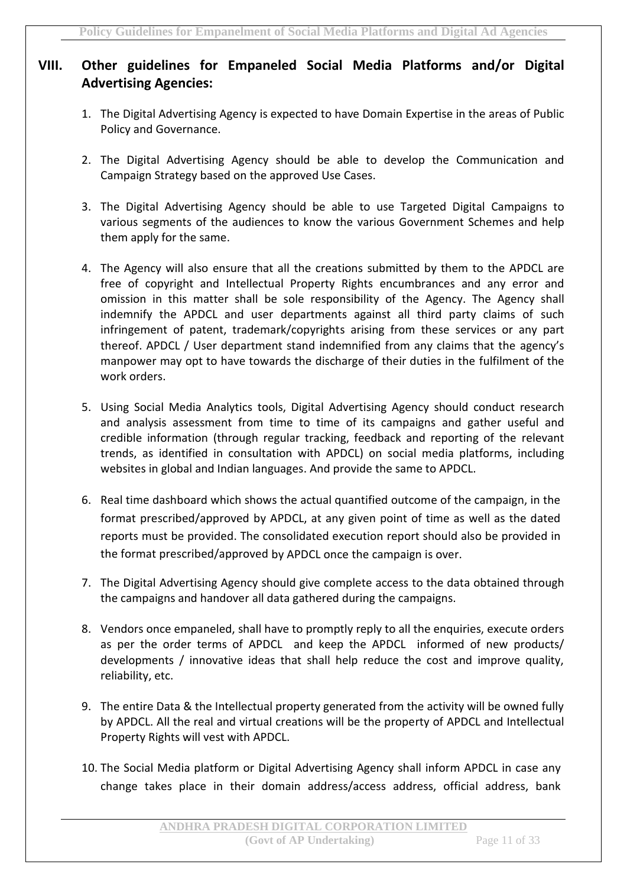#### **VIII. Other guidelines for Empaneled Social Media Platforms and/or Digital Advertising Agencies:**

- 1. The Digital Advertising Agency is expected to have Domain Expertise in the areas of Public Policy and Governance.
- 2. The Digital Advertising Agency should be able to develop the Communication and Campaign Strategy based on the approved Use Cases.
- 3. The Digital Advertising Agency should be able to use Targeted Digital Campaigns to various segments of the audiences to know the various Government Schemes and help them apply for the same.
- 4. The Agency will also ensure that all the creations submitted by them to the APDCL are free of copyright and Intellectual Property Rights encumbrances and any error and omission in this matter shall be sole responsibility of the Agency. The Agency shall indemnify the APDCL and user departments against all third party claims of such infringement of patent, trademark/copyrights arising from these services or any part thereof. APDCL / User department stand indemnified from any claims that the agency's manpower may opt to have towards the discharge of their duties in the fulfilment of the work orders.
- 5. Using Social Media Analytics tools, Digital Advertising Agency should conduct research and analysis assessment from time to time of its campaigns and gather useful and credible information (through regular tracking, feedback and reporting of the relevant trends, as identified in consultation with APDCL) on social media platforms, including websites in global and Indian languages. And provide the same to APDCL.
- 6. Real time dashboard which shows the actual quantified outcome of the campaign, in the format prescribed/approved by APDCL, at any given point of time as well as the dated reports must be provided. The consolidated execution report should also be provided in the format prescribed/approved by APDCL once the campaign is over.
- 7. The Digital Advertising Agency should give complete access to the data obtained through the campaigns and handover all data gathered during the campaigns.
- 8. Vendors once empaneled, shall have to promptly reply to all the enquiries, execute orders as per the order terms of APDCL and keep the APDCL informed of new products/ developments / innovative ideas that shall help reduce the cost and improve quality, reliability, etc.
- 9. The entire Data & the Intellectual property generated from the activity will be owned fully by APDCL. All the real and virtual creations will be the property of APDCL and Intellectual Property Rights will vest with APDCL.
- 10. The Social Media platform or Digital Advertising Agency shall inform APDCL in case any change takes place in their domain address/access address, official address, bank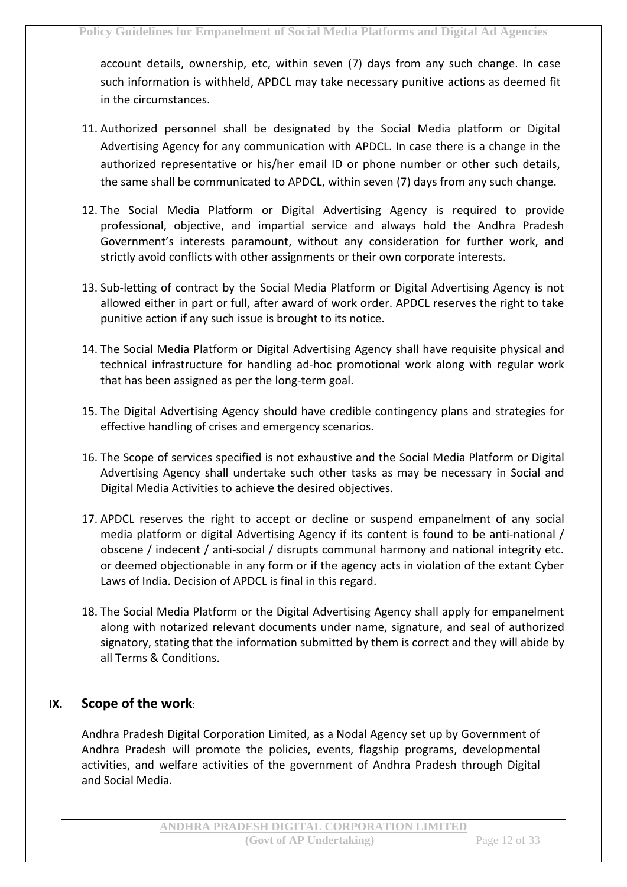account details, ownership, etc, within seven (7) days from any such change. In case such information is withheld, APDCL may take necessary punitive actions as deemed fit in the circumstances.

- 11. Authorized personnel shall be designated by the Social Media platform or Digital Advertising Agency for any communication with APDCL. In case there is a change in the authorized representative or his/her email ID or phone number or other such details, the same shall be communicated to APDCL, within seven (7) days from any such change.
- 12. The Social Media Platform or Digital Advertising Agency is required to provide professional, objective, and impartial service and always hold the Andhra Pradesh Government's interests paramount, without any consideration for further work, and strictly avoid conflicts with other assignments or their own corporate interests.
- 13. Sub-letting of contract by the Social Media Platform or Digital Advertising Agency is not allowed either in part or full, after award of work order. APDCL reserves the right to take punitive action if any such issue is brought to its notice.
- 14. The Social Media Platform or Digital Advertising Agency shall have requisite physical and technical infrastructure for handling ad-hoc promotional work along with regular work that has been assigned as per the long-term goal.
- 15. The Digital Advertising Agency should have credible contingency plans and strategies for effective handling of crises and emergency scenarios.
- 16. The Scope of services specified is not exhaustive and the Social Media Platform or Digital Advertising Agency shall undertake such other tasks as may be necessary in Social and Digital Media Activities to achieve the desired objectives.
- 17. APDCL reserves the right to accept or decline or suspend empanelment of any social media platform or digital Advertising Agency if its content is found to be anti-national / obscene / indecent / anti-social / disrupts communal harmony and national integrity etc. or deemed objectionable in any form or if the agency acts in violation of the extant Cyber Laws of India. Decision of APDCL is final in this regard.
- 18. The Social Media Platform or the Digital Advertising Agency shall apply for empanelment along with notarized relevant documents under name, signature, and seal of authorized signatory, stating that the information submitted by them is correct and they will abide by all Terms & Conditions.

#### **IX. Scope of the work**:

Andhra Pradesh Digital Corporation Limited, as a Nodal Agency set up by Government of Andhra Pradesh will promote the policies, events, flagship programs, developmental activities, and welfare activities of the government of Andhra Pradesh through Digital and Social Media.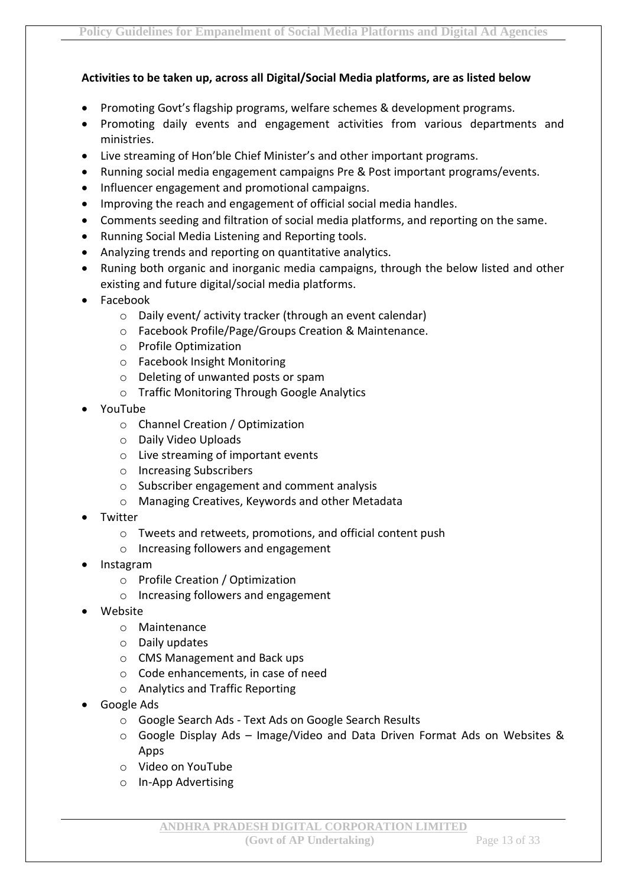#### **Activities to be taken up, across all Digital/Social Media platforms, are as listed below**

- Promoting Govt's flagship programs, welfare schemes & development programs.
- Promoting daily events and engagement activities from various departments and ministries.
- Live streaming of Hon'ble Chief Minister's and other important programs.
- Running social media engagement campaigns Pre & Post important programs/events.
- Influencer engagement and promotional campaigns.
- Improving the reach and engagement of official social media handles.
- Comments seeding and filtration of social media platforms, and reporting on the same.
- Running Social Media Listening and Reporting tools.
- Analyzing trends and reporting on quantitative analytics.
- Runing both organic and inorganic media campaigns, through the below listed and other existing and future digital/social media platforms.
- Facebook
	- o Daily event/ activity tracker (through an event calendar)
	- o Facebook Profile/Page/Groups Creation & Maintenance.
	- o Profile Optimization
	- o Facebook Insight Monitoring
	- o Deleting of unwanted posts or spam
	- o Traffic Monitoring Through Google Analytics
- YouTube
	- o Channel Creation / Optimization
	- o Daily Video Uploads
	- o Live streaming of important events
	- o Increasing Subscribers
	- o Subscriber engagement and comment analysis
	- o Managing Creatives, Keywords and other Metadata
- Twitter
	- o Tweets and retweets, promotions, and official content push
	- o Increasing followers and engagement
- Instagram
	- o Profile Creation / Optimization
	- o Increasing followers and engagement
- Website
	- o Maintenance
	- o Daily updates
	- o CMS Management and Back ups
	- o Code enhancements, in case of need
	- o Analytics and Traffic Reporting
- Google Ads
	- o Google Search Ads Text Ads on Google Search Results
	- o Google Display Ads Image/Video and Data Driven Format Ads on Websites & Apps
	- o Video on YouTube
	- o In-App Advertising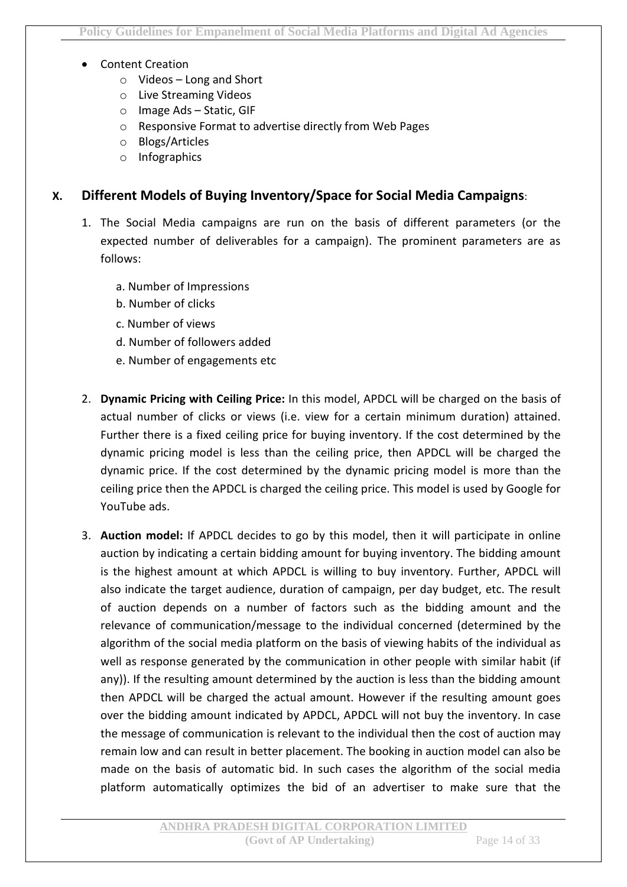- Content Creation
	- o Videos Long and Short
	- o Live Streaming Videos
	- o Image Ads Static, GIF
	- o Responsive Format to advertise directly from Web Pages
	- o Blogs/Articles
	- o Infographics

#### **X. Different Models of Buying Inventory/Space for Social Media Campaigns**:

- 1. The Social Media campaigns are run on the basis of different parameters (or the expected number of deliverables for a campaign). The prominent parameters are as follows:
	- a. Number of Impressions
	- b. Number of clicks
	- c. Number of views
	- d. Number of followers added
	- e. Number of engagements etc
- 2. **Dynamic Pricing with Ceiling Price:** In this model, APDCL will be charged on the basis of actual number of clicks or views (i.e. view for a certain minimum duration) attained. Further there is a fixed ceiling price for buying inventory. If the cost determined by the dynamic pricing model is less than the ceiling price, then APDCL will be charged the dynamic price. If the cost determined by the dynamic pricing model is more than the ceiling price then the APDCL is charged the ceiling price. This model is used by Google for YouTube ads.
- 3. **Auction model:** If APDCL decides to go by this model, then it will participate in online auction by indicating a certain bidding amount for buying inventory. The bidding amount is the highest amount at which APDCL is willing to buy inventory. Further, APDCL will also indicate the target audience, duration of campaign, per day budget, etc. The result of auction depends on a number of factors such as the bidding amount and the relevance of communication/message to the individual concerned (determined by the algorithm of the social media platform on the basis of viewing habits of the individual as well as response generated by the communication in other people with similar habit (if any)). If the resulting amount determined by the auction is less than the bidding amount then APDCL will be charged the actual amount. However if the resulting amount goes over the bidding amount indicated by APDCL, APDCL will not buy the inventory. In case the message of communication is relevant to the individual then the cost of auction may remain low and can result in better placement. The booking in auction model can also be made on the basis of automatic bid. In such cases the algorithm of the social media platform automatically optimizes the bid of an advertiser to make sure that the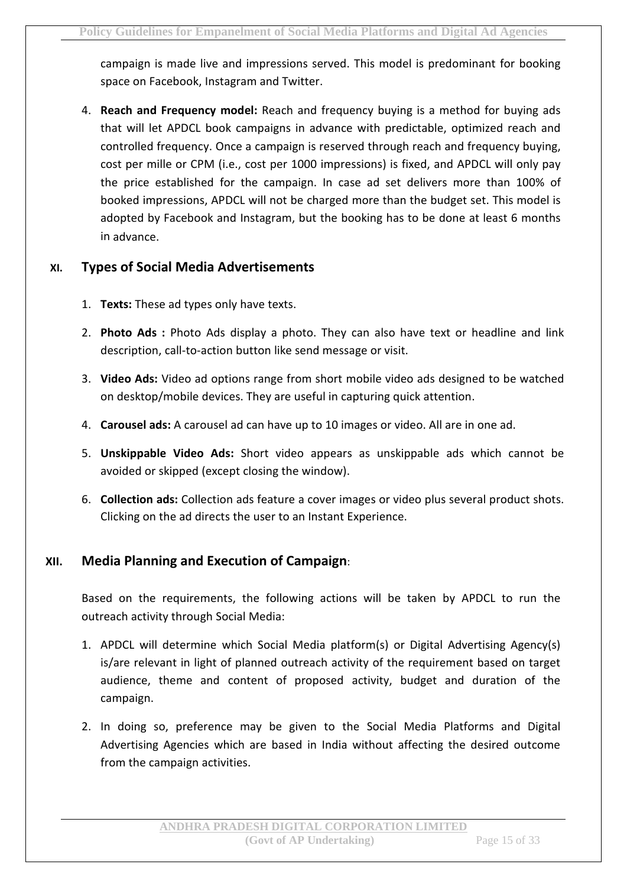campaign is made live and impressions served. This model is predominant for booking space on Facebook, Instagram and Twitter.

4. **Reach and Frequency model:** Reach and frequency buying is a method for buying ads that will let APDCL book campaigns in advance with predictable, optimized reach and controlled frequency. Once a campaign is reserved through reach and frequency buying, cost per mille or CPM (i.e., cost per 1000 impressions) is fixed, and APDCL will only pay the price established for the campaign. In case ad set delivers more than 100% of booked impressions, APDCL will not be charged more than the budget set. This model is adopted by Facebook and Instagram, but the booking has to be done at least 6 months in advance.

#### **XI. Types of Social Media Advertisements**

- 1. **Texts:** These ad types only have texts.
- 2. **Photo Ads :** Photo Ads display a photo. They can also have text or headline and link description, call-to-action button like send message or visit.
- 3. **Video Ads:** Video ad options range from short mobile video ads designed to be watched on desktop/mobile devices. They are useful in capturing quick attention.
- 4. **Carousel ads:** A carousel ad can have up to 10 images or video. All are in one ad.
- 5. **Unskippable Video Ads:** Short video appears as unskippable ads which cannot be avoided or skipped (except closing the window).
- 6. **Collection ads:** Collection ads feature a cover images or video plus several product shots. Clicking on the ad directs the user to an Instant Experience.

#### **XII. Media Planning and Execution of Campaign**:

Based on the requirements, the following actions will be taken by APDCL to run the outreach activity through Social Media:

- 1. APDCL will determine which Social Media platform(s) or Digital Advertising Agency(s) is/are relevant in light of planned outreach activity of the requirement based on target audience, theme and content of proposed activity, budget and duration of the campaign.
- 2. In doing so, preference may be given to the Social Media Platforms and Digital Advertising Agencies which are based in India without affecting the desired outcome from the campaign activities.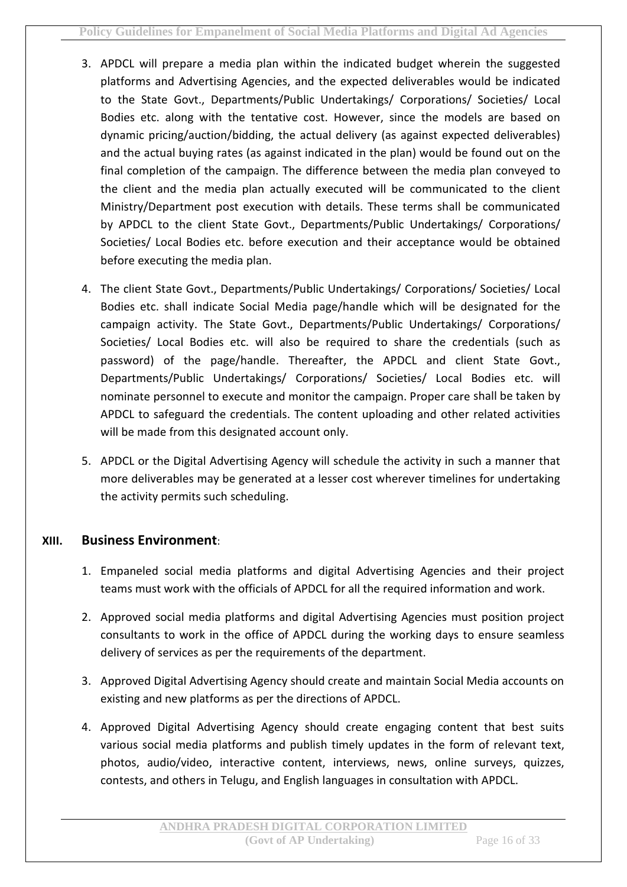- 3. APDCL will prepare a media plan within the indicated budget wherein the suggested platforms and Advertising Agencies, and the expected deliverables would be indicated to the State Govt., Departments/Public Undertakings/ Corporations/ Societies/ Local Bodies etc. along with the tentative cost. However, since the models are based on dynamic pricing/auction/bidding, the actual delivery (as against expected deliverables) and the actual buying rates (as against indicated in the plan) would be found out on the final completion of the campaign. The difference between the media plan conveyed to the client and the media plan actually executed will be communicated to the client Ministry/Department post execution with details. These terms shall be communicated by APDCL to the client State Govt., Departments/Public Undertakings/ Corporations/ Societies/ Local Bodies etc. before execution and their acceptance would be obtained before executing the media plan.
- 4. The client State Govt., Departments/Public Undertakings/ Corporations/ Societies/ Local Bodies etc. shall indicate Social Media page/handle which will be designated for the campaign activity. The State Govt., Departments/Public Undertakings/ Corporations/ Societies/ Local Bodies etc. will also be required to share the credentials (such as password) of the page/handle. Thereafter, the APDCL and client State Govt., Departments/Public Undertakings/ Corporations/ Societies/ Local Bodies etc. will nominate personnel to execute and monitor the campaign. Proper care shall be taken by APDCL to safeguard the credentials. The content uploading and other related activities will be made from this designated account only.
- 5. APDCL or the Digital Advertising Agency will schedule the activity in such a manner that more deliverables may be generated at a lesser cost wherever timelines for undertaking the activity permits such scheduling.

#### **XIII. Business Environment**:

- 1. Empaneled social media platforms and digital Advertising Agencies and their project teams must work with the officials of APDCL for all the required information and work.
- 2. Approved social media platforms and digital Advertising Agencies must position project consultants to work in the office of APDCL during the working days to ensure seamless delivery of services as per the requirements of the department.
- 3. Approved Digital Advertising Agency should create and maintain Social Media accounts on existing and new platforms as per the directions of APDCL.
- 4. Approved Digital Advertising Agency should create engaging content that best suits various social media platforms and publish timely updates in the form of relevant text, photos, audio/video, interactive content, interviews, news, online surveys, quizzes, contests, and others in Telugu, and English languages in consultation with APDCL.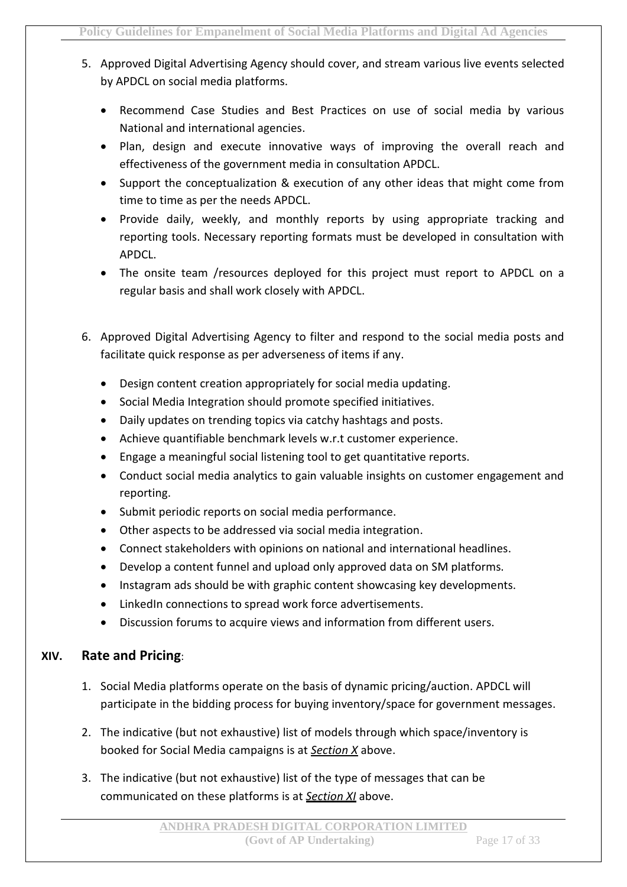- 5. Approved Digital Advertising Agency should cover, and stream various live events selected by APDCL on social media platforms.
	- Recommend Case Studies and Best Practices on use of social media by various National and international agencies.
	- Plan, design and execute innovative ways of improving the overall reach and effectiveness of the government media in consultation APDCL.
	- Support the conceptualization & execution of any other ideas that might come from time to time as per the needs APDCL.
	- Provide daily, weekly, and monthly reports by using appropriate tracking and reporting tools. Necessary reporting formats must be developed in consultation with APDCL.
	- The onsite team /resources deployed for this project must report to APDCL on a regular basis and shall work closely with APDCL.
- 6. Approved Digital Advertising Agency to filter and respond to the social media posts and facilitate quick response as per adverseness of items if any.
	- Design content creation appropriately for social media updating.
	- Social Media Integration should promote specified initiatives.
	- Daily updates on trending topics via catchy hashtags and posts.
	- Achieve quantifiable benchmark levels w.r.t customer experience.
	- Engage a meaningful social listening tool to get quantitative reports.
	- Conduct social media analytics to gain valuable insights on customer engagement and reporting.
	- Submit periodic reports on social media performance.
	- Other aspects to be addressed via social media integration.
	- Connect stakeholders with opinions on national and international headlines.
	- Develop a content funnel and upload only approved data on SM platforms.
	- Instagram ads should be with graphic content showcasing key developments.
	- LinkedIn connections to spread work force advertisements.
	- Discussion forums to acquire views and information from different users.

#### **XIV. Rate and Pricing**:

- 1. Social Media platforms operate on the basis of dynamic pricing/auction. APDCL will participate in the bidding process for buying inventory/space for government messages.
- 2. The indicative (but not exhaustive) list of models through which space/inventory is booked for Social Media campaigns is at *Section X* above.
- 3. The indicative (but not exhaustive) list of the type of messages that can be communicated on these platforms is at *Section XI* above.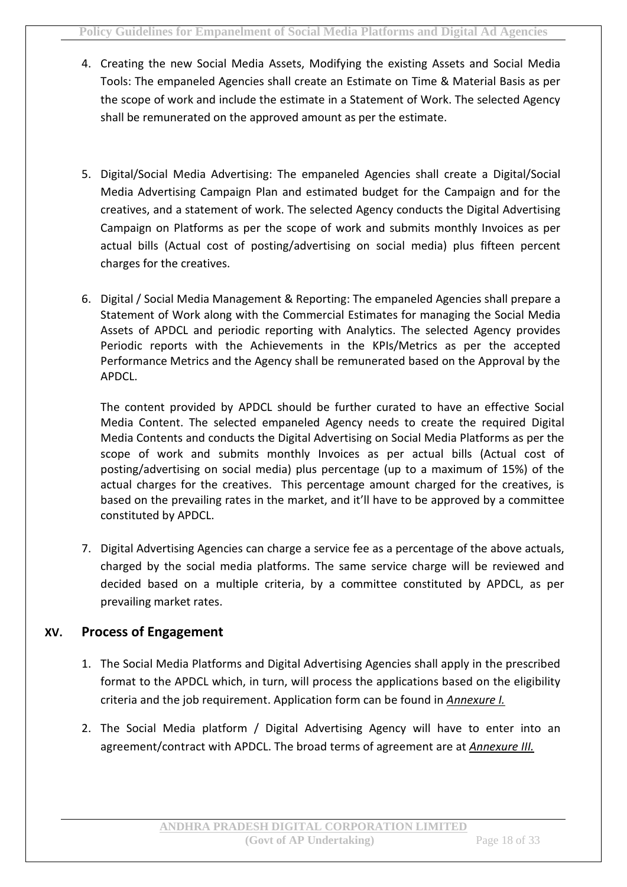- 4. Creating the new Social Media Assets, Modifying the existing Assets and Social Media Tools: The empaneled Agencies shall create an Estimate on Time & Material Basis as per the scope of work and include the estimate in a Statement of Work. The selected Agency shall be remunerated on the approved amount as per the estimate.
- 5. Digital/Social Media Advertising: The empaneled Agencies shall create a Digital/Social Media Advertising Campaign Plan and estimated budget for the Campaign and for the creatives, and a statement of work. The selected Agency conducts the Digital Advertising Campaign on Platforms as per the scope of work and submits monthly Invoices as per actual bills (Actual cost of posting/advertising on social media) plus fifteen percent charges for the creatives.
- 6. Digital / Social Media Management & Reporting: The empaneled Agencies shall prepare a Statement of Work along with the Commercial Estimates for managing the Social Media Assets of APDCL and periodic reporting with Analytics. The selected Agency provides Periodic reports with the Achievements in the KPIs/Metrics as per the accepted Performance Metrics and the Agency shall be remunerated based on the Approval by the APDCL.

The content provided by APDCL should be further curated to have an effective Social Media Content. The selected empaneled Agency needs to create the required Digital Media Contents and conducts the Digital Advertising on Social Media Platforms as per the scope of work and submits monthly Invoices as per actual bills (Actual cost of posting/advertising on social media) plus percentage (up to a maximum of 15%) of the actual charges for the creatives. This percentage amount charged for the creatives, is based on the prevailing rates in the market, and it'll have to be approved by a committee constituted by APDCL.

7. Digital Advertising Agencies can charge a service fee as a percentage of the above actuals, charged by the social media platforms. The same service charge will be reviewed and decided based on a multiple criteria, by a committee constituted by APDCL, as per prevailing market rates.

#### **XV. Process of Engagement**

- 1. The Social Media Platforms and Digital Advertising Agencies shall apply in the prescribed format to the APDCL which, in turn, will process the applications based on the eligibility criteria and the job requirement. Application form can be found in *Annexure I.*
- 2. The Social Media platform / Digital Advertising Agency will have to enter into an agreement/contract with APDCL. The broad terms of agreement are at *Annexure III.*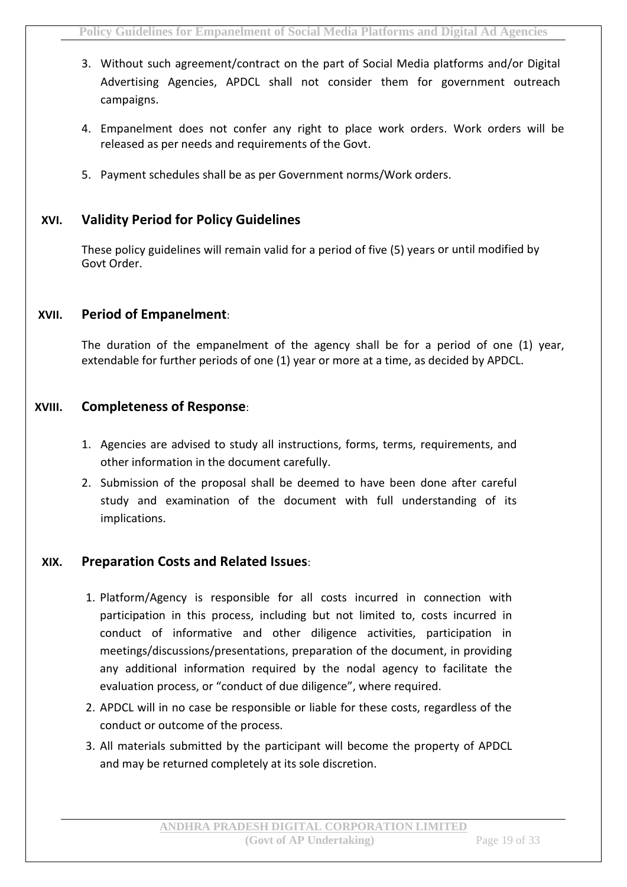- 3. Without such agreement/contract on the part of Social Media platforms and/or Digital Advertising Agencies, APDCL shall not consider them for government outreach campaigns.
- 4. Empanelment does not confer any right to place work orders. Work orders will be released as per needs and requirements of the Govt.
- 5. Payment schedules shall be as per Government norms/Work orders.

#### **XVI. Validity Period for Policy Guidelines**

These policy guidelines will remain valid for a period of five (5) years or until modified by Govt Order.

#### **XVII. Period of Empanelment**:

The duration of the empanelment of the agency shall be for a period of one (1) year, extendable for further periods of one (1) year or more at a time, as decided by APDCL.

#### **XVIII. Completeness of Response**:

- 1. Agencies are advised to study all instructions, forms, terms, requirements, and other information in the document carefully.
- 2. Submission of the proposal shall be deemed to have been done after careful study and examination of the document with full understanding of its implications.

#### **XIX. Preparation Costs and Related Issues**:

- 1. Platform/Agency is responsible for all costs incurred in connection with participation in this process, including but not limited to, costs incurred in conduct of informative and other diligence activities, participation in meetings/discussions/presentations, preparation of the document, in providing any additional information required by the nodal agency to facilitate the evaluation process, or "conduct of due diligence", where required.
- 2. APDCL will in no case be responsible or liable for these costs, regardless of the conduct or outcome of the process.
- 3. All materials submitted by the participant will become the property of APDCL and may be returned completely at its sole discretion.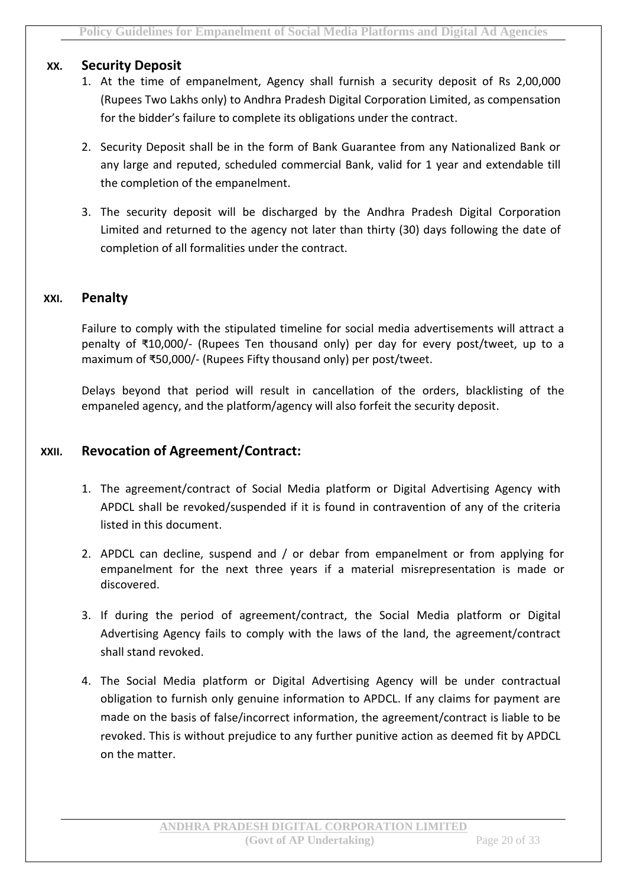#### **XX. Security Deposit**

- 1. At the time of empanelment, Agency shall furnish a security deposit of Rs 2,00,000 (Rupees Two Lakhs only) to Andhra Pradesh Digital Corporation Limited, as compensation for the bidder's failure to complete its obligations under the contract.
- 2. Security Deposit shall be in the form of Bank Guarantee from any Nationalized Bank or any large and reputed, scheduled commercial Bank, valid for 1 year and extendable till the completion of the empanelment.
- 3. The security deposit will be discharged by the Andhra Pradesh Digital Corporation Limited and returned to the agency not later than thirty (30) days following the date of completion of all formalities under the contract.

#### **XXI. Penalty**

Failure to comply with the stipulated timeline for social media advertisements will attract a penalty of ₹10,000/- (Rupees Ten thousand only) per day for every post/tweet, up to a maximum of ₹50,000/- (Rupees Fifty thousand only) per post/tweet.

Delays beyond that period will result in cancellation of the orders, blacklisting of the empaneled agency, and the platform/agency will also forfeit the security deposit.

#### **XXII. Revocation of Agreement/Contract:**

- 1. The agreement/contract of Social Media platform or Digital Advertising Agency with APDCL shall be revoked/suspended if it is found in contravention of any of the criteria listed in this document.
- 2. APDCL can decline, suspend and / or debar from empanelment or from applying for empanelment for the next three years if a material misrepresentation is made or discovered.
- 3. If during the period of agreement/contract, the Social Media platform or Digital Advertising Agency fails to comply with the laws of the land, the agreement/contract shall stand revoked.
- 4. The Social Media platform or Digital Advertising Agency will be under contractual obligation to furnish only genuine information to APDCL. If any claims for payment are made on the basis of false/incorrect information, the agreement/contract is liable to be revoked. This is without prejudice to any further punitive action as deemed fit by APDCL on the matter.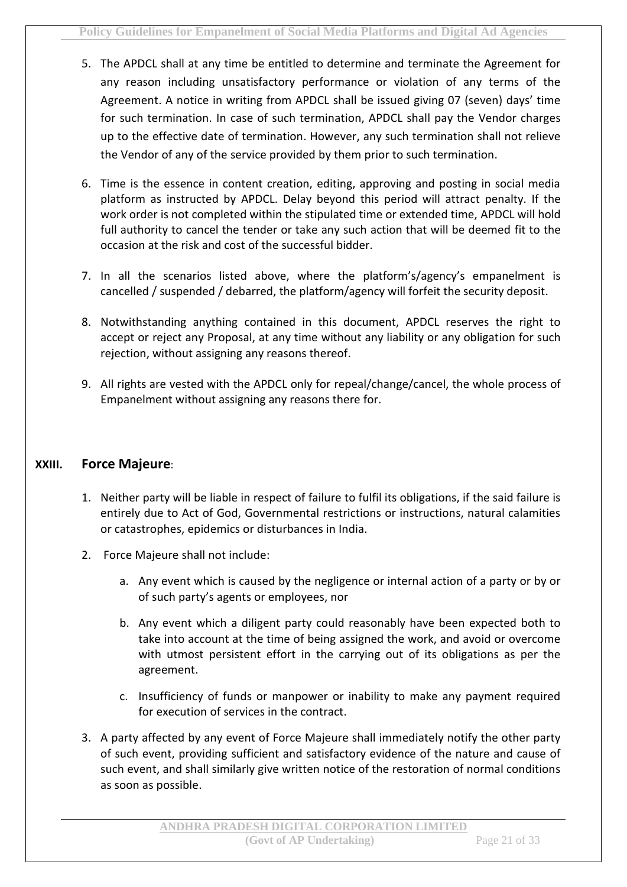- 5. The APDCL shall at any time be entitled to determine and terminate the Agreement for any reason including unsatisfactory performance or violation of any terms of the Agreement. A notice in writing from APDCL shall be issued giving 07 (seven) days' time for such termination. In case of such termination, APDCL shall pay the Vendor charges up to the effective date of termination. However, any such termination shall not relieve the Vendor of any of the service provided by them prior to such termination.
- 6. Time is the essence in content creation, editing, approving and posting in social media platform as instructed by APDCL. Delay beyond this period will attract penalty. If the work order is not completed within the stipulated time or extended time, APDCL will hold full authority to cancel the tender or take any such action that will be deemed fit to the occasion at the risk and cost of the successful bidder.
- 7. In all the scenarios listed above, where the platform's/agency's empanelment is cancelled / suspended / debarred, the platform/agency will forfeit the security deposit.
- 8. Notwithstanding anything contained in this document, APDCL reserves the right to accept or reject any Proposal, at any time without any liability or any obligation for such rejection, without assigning any reasons thereof.
- 9. All rights are vested with the APDCL only for repeal/change/cancel, the whole process of Empanelment without assigning any reasons there for.

#### **XXIII. Force Majeure**:

- 1. Neither party will be liable in respect of failure to fulfil its obligations, if the said failure is entirely due to Act of God, Governmental restrictions or instructions, natural calamities or catastrophes, epidemics or disturbances in India.
- 2. Force Majeure shall not include:
	- a. Any event which is caused by the negligence or internal action of a party or by or of such party's agents or employees, nor
	- b. Any event which a diligent party could reasonably have been expected both to take into account at the time of being assigned the work, and avoid or overcome with utmost persistent effort in the carrying out of its obligations as per the agreement.
	- c. Insufficiency of funds or manpower or inability to make any payment required for execution of services in the contract.
- 3. A party affected by any event of Force Majeure shall immediately notify the other party of such event, providing sufficient and satisfactory evidence of the nature and cause of such event, and shall similarly give written notice of the restoration of normal conditions as soon as possible.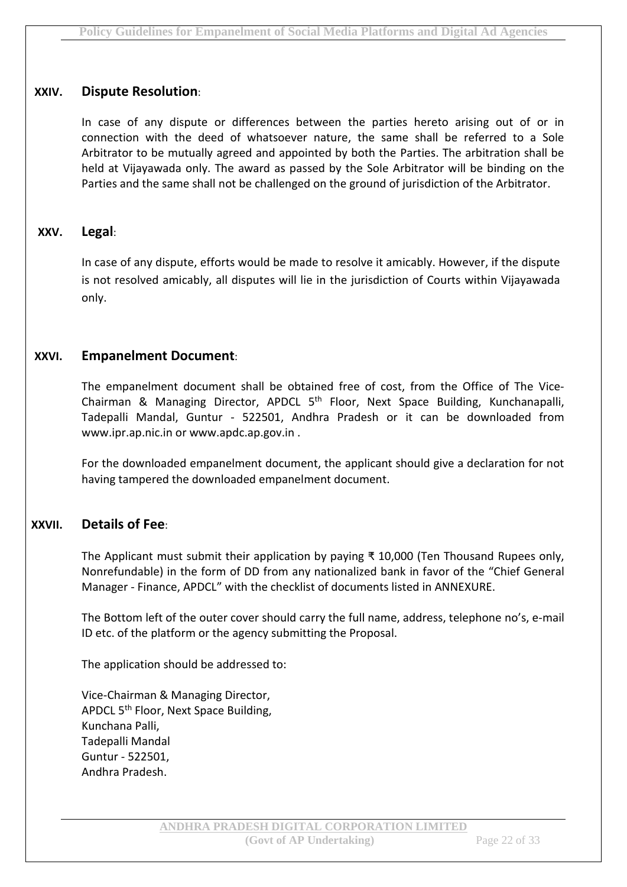#### **XXIV. Dispute Resolution**:

In case of any dispute or differences between the parties hereto arising out of or in connection with the deed of whatsoever nature, the same shall be referred to a Sole Arbitrator to be mutually agreed and appointed by both the Parties. The arbitration shall be held at Vijayawada only. The award as passed by the Sole Arbitrator will be binding on the Parties and the same shall not be challenged on the ground of jurisdiction of the Arbitrator.

#### **XXV. Legal**:

In case of any dispute, efforts would be made to resolve it amicably. However, if the dispute is not resolved amicably, all disputes will lie in the jurisdiction of Courts within Vijayawada only.

#### **XXVI. Empanelment Document**:

The empanelment document shall be obtained free of cost, from the Office of The Vice-Chairman & Managing Director, APDCL 5<sup>th</sup> Floor, Next Space Building, Kunchanapalli, Tadepalli Mandal, Guntur - 522501, Andhra Pradesh or it can be downloaded from www.ipr.ap.nic.in or www.apdc.ap.gov.in .

For the downloaded empanelment document, the applicant should give a declaration for not having tampered the downloaded empanelment document.

#### **XXVII. Details of Fee**:

The Applicant must submit their application by paying ₹ 10,000 (Ten Thousand Rupees only, Nonrefundable) in the form of DD from any nationalized bank in favor of the "Chief General Manager - Finance, APDCL" with the checklist of documents listed in ANNEXURE.

The Bottom left of the outer cover should carry the full name, address, telephone no's, e-mail ID etc. of the platform or the agency submitting the Proposal.

The application should be addressed to:

Vice-Chairman & Managing Director, APDCL 5<sup>th</sup> Floor, Next Space Building, Kunchana Palli, Tadepalli Mandal Guntur - 522501, Andhra Pradesh.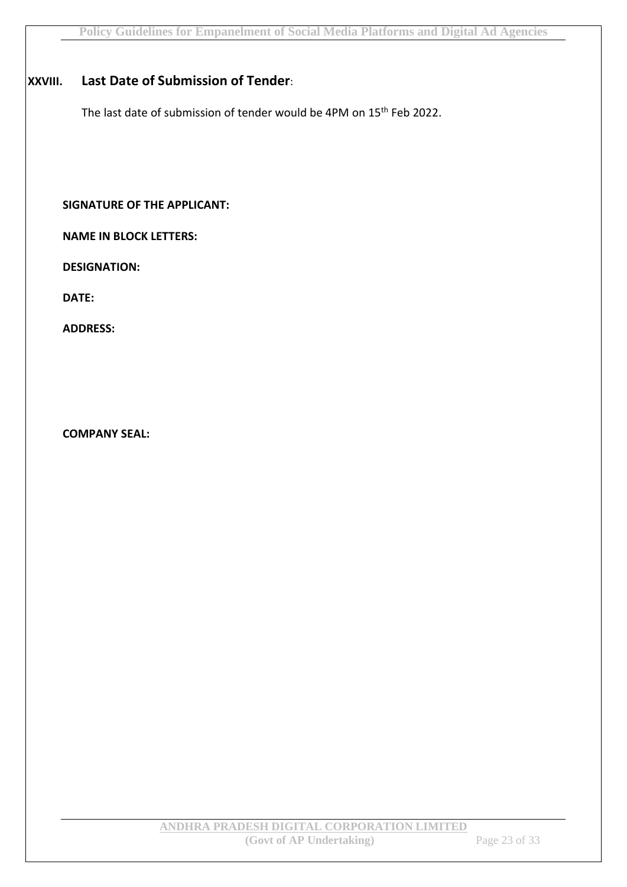#### **XXVIII. Last Date of Submission of Tender**:

The last date of submission of tender would be 4PM on 15<sup>th</sup> Feb 2022.

**SIGNATURE OF THE APPLICANT:**

**NAME IN BLOCK LETTERS:**

**DESIGNATION:**

**DATE:**

**ADDRESS:**

**COMPANY SEAL:**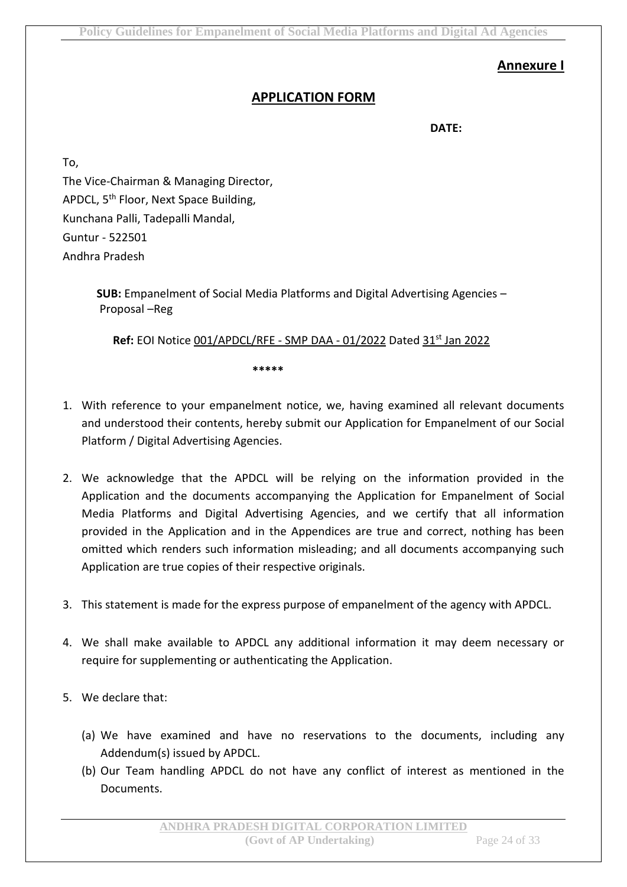#### **Annexure I**

#### **APPLICATION FORM**

**DATE:**

To,

The Vice-Chairman & Managing Director, APDCL, 5<sup>th</sup> Floor, Next Space Building, Kunchana Palli, Tadepalli Mandal, Guntur - 522501 Andhra Pradesh

> **SUB:** Empanelment of Social Media Platforms and Digital Advertising Agencies – Proposal –Reg

**Ref:** EOI Notice 001/APDCL/RFE - SMP DAA - 01/2022 Dated 31st Jan 2022

**\*\*\*\*\***

- 1. With reference to your empanelment notice, we, having examined all relevant documents and understood their contents, hereby submit our Application for Empanelment of our Social Platform / Digital Advertising Agencies.
- 2. We acknowledge that the APDCL will be relying on the information provided in the Application and the documents accompanying the Application for Empanelment of Social Media Platforms and Digital Advertising Agencies, and we certify that all information provided in the Application and in the Appendices are true and correct, nothing has been omitted which renders such information misleading; and all documents accompanying such Application are true copies of their respective originals.
- 3. This statement is made for the express purpose of empanelment of the agency with APDCL.
- 4. We shall make available to APDCL any additional information it may deem necessary or require for supplementing or authenticating the Application.
- 5. We declare that:
	- (a) We have examined and have no reservations to the documents, including any Addendum(s) issued by APDCL.
	- (b) Our Team handling APDCL do not have any conflict of interest as mentioned in the Documents.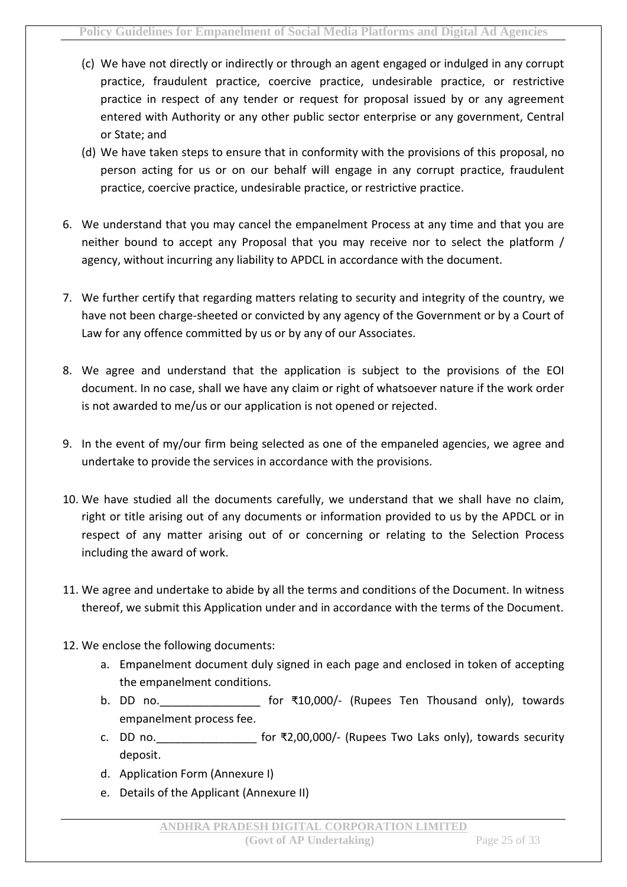- (c) We have not directly or indirectly or through an agent engaged or indulged in any corrupt practice, fraudulent practice, coercive practice, undesirable practice, or restrictive practice in respect of any tender or request for proposal issued by or any agreement entered with Authority or any other public sector enterprise or any government, Central or State; and
- (d) We have taken steps to ensure that in conformity with the provisions of this proposal, no person acting for us or on our behalf will engage in any corrupt practice, fraudulent practice, coercive practice, undesirable practice, or restrictive practice.
- 6. We understand that you may cancel the empanelment Process at any time and that you are neither bound to accept any Proposal that you may receive nor to select the platform / agency, without incurring any liability to APDCL in accordance with the document.
- 7. We further certify that regarding matters relating to security and integrity of the country, we have not been charge-sheeted or convicted by any agency of the Government or by a Court of Law for any offence committed by us or by any of our Associates.
- 8. We agree and understand that the application is subject to the provisions of the EOI document. In no case, shall we have any claim or right of whatsoever nature if the work order is not awarded to me/us or our application is not opened or rejected.
- 9. In the event of my/our firm being selected as one of the empaneled agencies, we agree and undertake to provide the services in accordance with the provisions.
- 10. We have studied all the documents carefully, we understand that we shall have no claim, right or title arising out of any documents or information provided to us by the APDCL or in respect of any matter arising out of or concerning or relating to the Selection Process including the award of work.
- 11. We agree and undertake to abide by all the terms and conditions of the Document. In witness thereof, we submit this Application under and in accordance with the terms of the Document.
- 12. We enclose the following documents:
	- a. Empanelment document duly signed in each page and enclosed in token of accepting the empanelment conditions.
	- b. DD no. example of ₹10,000/- (Rupees Ten Thousand only), towards empanelment process fee.
	- c. DD no.  $\qquad \qquad$  for  $\overline{x}$ 2,00,000/- (Rupees Two Laks only), towards security deposit.
	- d. Application Form (Annexure I)
	- e. Details of the Applicant (Annexure II)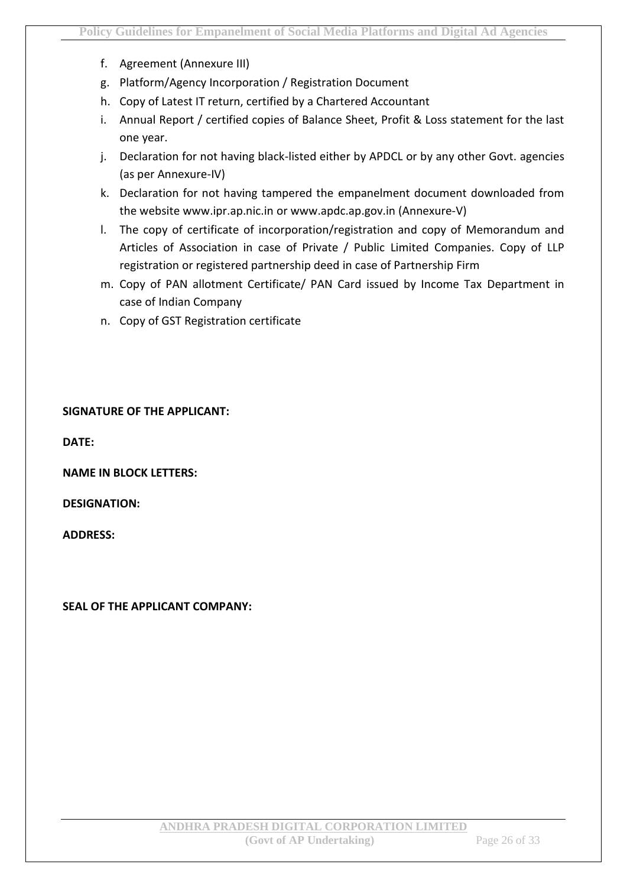- f. Agreement (Annexure III)
- g. Platform/Agency Incorporation / Registration Document
- h. Copy of Latest IT return, certified by a Chartered Accountant
- i. Annual Report / certified copies of Balance Sheet, Profit & Loss statement for the last one year.
- j. Declaration for not having black-listed either by APDCL or by any other Govt. agencies (as per Annexure-IV)
- k. Declaration for not having tampered the empanelment document downloaded from the website www.ipr.ap.nic.in or www.apdc.ap.gov.in (Annexure-V)
- l. The copy of certificate of incorporation/registration and copy of Memorandum and Articles of Association in case of Private / Public Limited Companies. Copy of LLP registration or registered partnership deed in case of Partnership Firm
- m. Copy of PAN allotment Certificate/ PAN Card issued by Income Tax Department in case of Indian Company
- n. Copy of GST Registration certificate

#### **SIGNATURE OF THE APPLICANT:**

**DATE:**

**NAME IN BLOCK LETTERS:**

**DESIGNATION:**

**ADDRESS:**

**SEAL OF THE APPLICANT COMPANY:**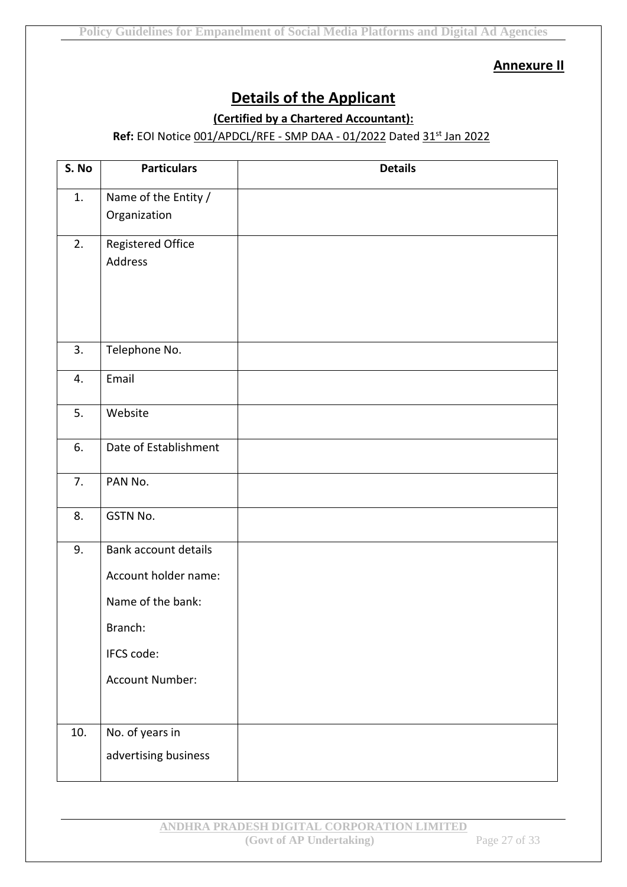**Annexure II**

## **Details of the Applicant**

#### **(Certified by a Chartered Accountant):**

#### **Ref:** EOI Notice 001/APDCL/RFE - SMP DAA - 01/2022 Dated 31st Jan 2022

| S. No | <b>Particulars</b>                                                                                                          | <b>Details</b> |
|-------|-----------------------------------------------------------------------------------------------------------------------------|----------------|
| 1.    | Name of the Entity /<br>Organization                                                                                        |                |
| 2.    | Registered Office<br>Address                                                                                                |                |
| 3.    | Telephone No.                                                                                                               |                |
| 4.    | Email                                                                                                                       |                |
| 5.    | Website                                                                                                                     |                |
| 6.    | Date of Establishment                                                                                                       |                |
| 7.    | PAN No.                                                                                                                     |                |
| 8.    | GSTN No.                                                                                                                    |                |
| 9.    | <b>Bank account details</b><br>Account holder name:<br>Name of the bank:<br>Branch:<br>IFCS code:<br><b>Account Number:</b> |                |
| 10.   | No. of years in<br>advertising business                                                                                     |                |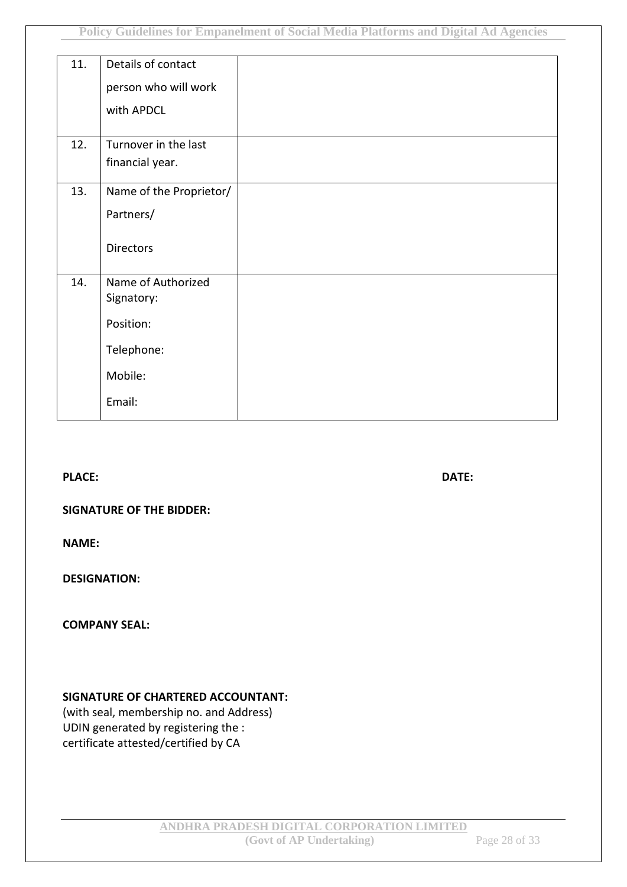| 11. | Details of contact      |  |
|-----|-------------------------|--|
|     | person who will work    |  |
|     | with APDCL              |  |
|     |                         |  |
| 12. | Turnover in the last    |  |
|     | financial year.         |  |
| 13. | Name of the Proprietor/ |  |
|     | Partners/               |  |
|     | <b>Directors</b>        |  |
| 14. | Name of Authorized      |  |
|     | Signatory:              |  |
|     | Position:               |  |
|     | Telephone:              |  |
|     | Mobile:                 |  |
|     | Email:                  |  |

**PLACE: DATE:**

#### **SIGNATURE OF THE BIDDER:**

**NAME:**

**DESIGNATION:**

**COMPANY SEAL:**

#### **SIGNATURE OF CHARTERED ACCOUNTANT:**

(with seal, membership no. and Address) UDIN generated by registering the : certificate attested/certified by CA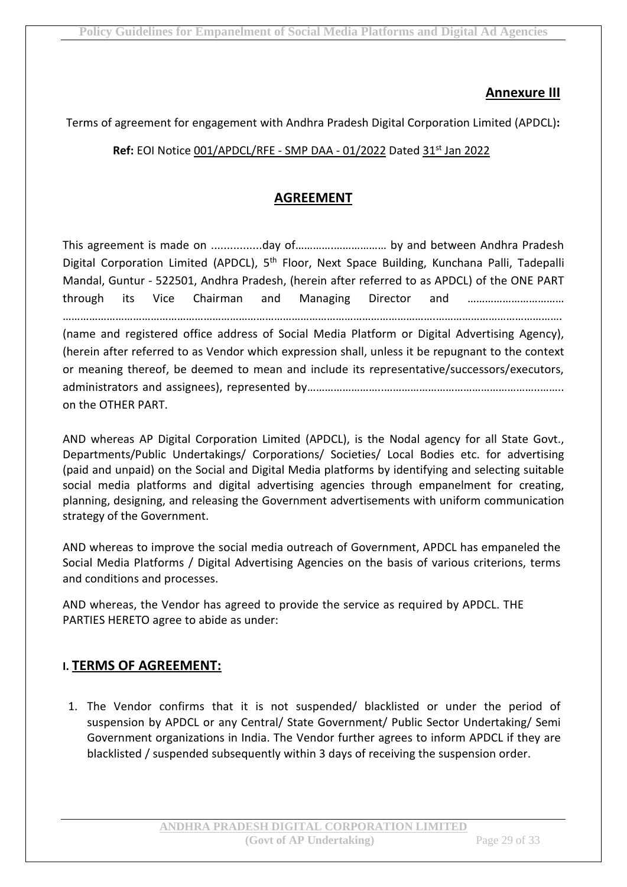#### **Annexure III**

Terms of agreement for engagement with Andhra Pradesh Digital Corporation Limited (APDCL)**:**

#### **Ref:** EOI Notice 001/APDCL/RFE - SMP DAA - 01/2022 Dated 31st Jan 2022

#### **AGREEMENT**

This agreement is made on ................day of………….……………… by and between Andhra Pradesh Digital Corporation Limited (APDCL), 5<sup>th</sup> Floor, Next Space Building, Kunchana Palli, Tadepalli Mandal, Guntur - 522501, Andhra Pradesh, (herein after referred to as APDCL) of the ONE PART through its Vice Chairman and Managing Director and …………………………… ……………………………………………………………………………………………………………….……………………………………. (name and registered office address of Social Media Platform or Digital Advertising Agency), (herein after referred to as Vendor which expression shall, unless it be repugnant to the context or meaning thereof, be deemed to mean and include its representative/successors/executors, administrators and assignees), represented by……………………..……………………………………………..…….. on the OTHER PART.

AND whereas AP Digital Corporation Limited (APDCL), is the Nodal agency for all State Govt., Departments/Public Undertakings/ Corporations/ Societies/ Local Bodies etc. for advertising (paid and unpaid) on the Social and Digital Media platforms by identifying and selecting suitable social media platforms and digital advertising agencies through empanelment for creating, planning, designing, and releasing the Government advertisements with uniform communication strategy of the Government.

AND whereas to improve the social media outreach of Government, APDCL has empaneled the Social Media Platforms / Digital Advertising Agencies on the basis of various criterions, terms and conditions and processes.

AND whereas, the Vendor has agreed to provide the service as required by APDCL. THE PARTIES HERETO agree to abide as under:

#### **I. TERMS OF AGREEMENT:**

1. The Vendor confirms that it is not suspended/ blacklisted or under the period of suspension by APDCL or any Central/ State Government/ Public Sector Undertaking/ Semi Government organizations in India. The Vendor further agrees to inform APDCL if they are blacklisted / suspended subsequently within 3 days of receiving the suspension order.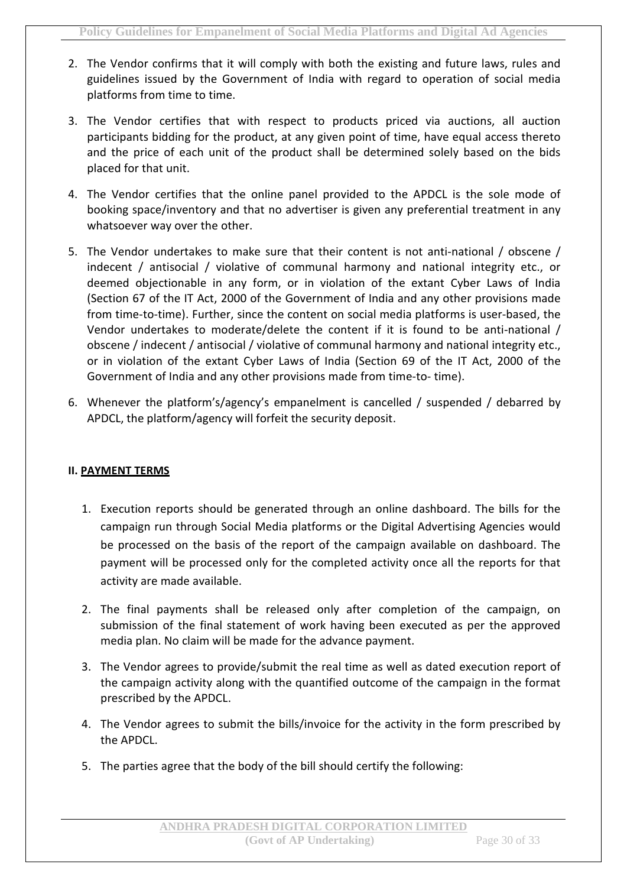- 2. The Vendor confirms that it will comply with both the existing and future laws, rules and guidelines issued by the Government of India with regard to operation of social media platforms from time to time.
- 3. The Vendor certifies that with respect to products priced via auctions, all auction participants bidding for the product, at any given point of time, have equal access thereto and the price of each unit of the product shall be determined solely based on the bids placed for that unit.
- 4. The Vendor certifies that the online panel provided to the APDCL is the sole mode of booking space/inventory and that no advertiser is given any preferential treatment in any whatsoever way over the other.
- 5. The Vendor undertakes to make sure that their content is not anti-national / obscene / indecent / antisocial / violative of communal harmony and national integrity etc., or deemed objectionable in any form, or in violation of the extant Cyber Laws of India (Section 67 of the IT Act, 2000 of the Government of India and any other provisions made from time-to-time). Further, since the content on social media platforms is user-based, the Vendor undertakes to moderate/delete the content if it is found to be anti-national / obscene / indecent / antisocial / violative of communal harmony and national integrity etc., or in violation of the extant Cyber Laws of India (Section 69 of the IT Act, 2000 of the Government of India and any other provisions made from time-to- time).
- 6. Whenever the platform's/agency's empanelment is cancelled / suspended / debarred by APDCL, the platform/agency will forfeit the security deposit.

#### **II. PAYMENT TERMS**

- 1. Execution reports should be generated through an online dashboard. The bills for the campaign run through Social Media platforms or the Digital Advertising Agencies would be processed on the basis of the report of the campaign available on dashboard. The payment will be processed only for the completed activity once all the reports for that activity are made available.
- 2. The final payments shall be released only after completion of the campaign, on submission of the final statement of work having been executed as per the approved media plan. No claim will be made for the advance payment.
- 3. The Vendor agrees to provide/submit the real time as well as dated execution report of the campaign activity along with the quantified outcome of the campaign in the format prescribed by the APDCL.
- 4. The Vendor agrees to submit the bills/invoice for the activity in the form prescribed by the APDCL.
- 5. The parties agree that the body of the bill should certify the following: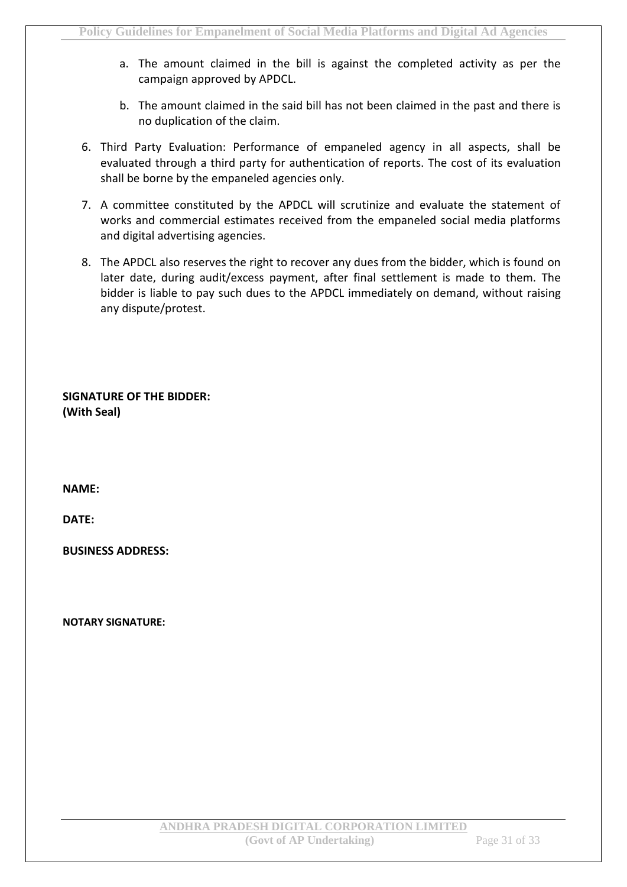- a. The amount claimed in the bill is against the completed activity as per the campaign approved by APDCL.
- b. The amount claimed in the said bill has not been claimed in the past and there is no duplication of the claim.
- 6. Third Party Evaluation: Performance of empaneled agency in all aspects, shall be evaluated through a third party for authentication of reports. The cost of its evaluation shall be borne by the empaneled agencies only.
- 7. A committee constituted by the APDCL will scrutinize and evaluate the statement of works and commercial estimates received from the empaneled social media platforms and digital advertising agencies.
- 8. The APDCL also reserves the right to recover any dues from the bidder, which is found on later date, during audit/excess payment, after final settlement is made to them. The bidder is liable to pay such dues to the APDCL immediately on demand, without raising any dispute/protest.

**SIGNATURE OF THE BIDDER: (With Seal)**

**NAME:**

**DATE:**

**BUSINESS ADDRESS:**

**NOTARY SIGNATURE:**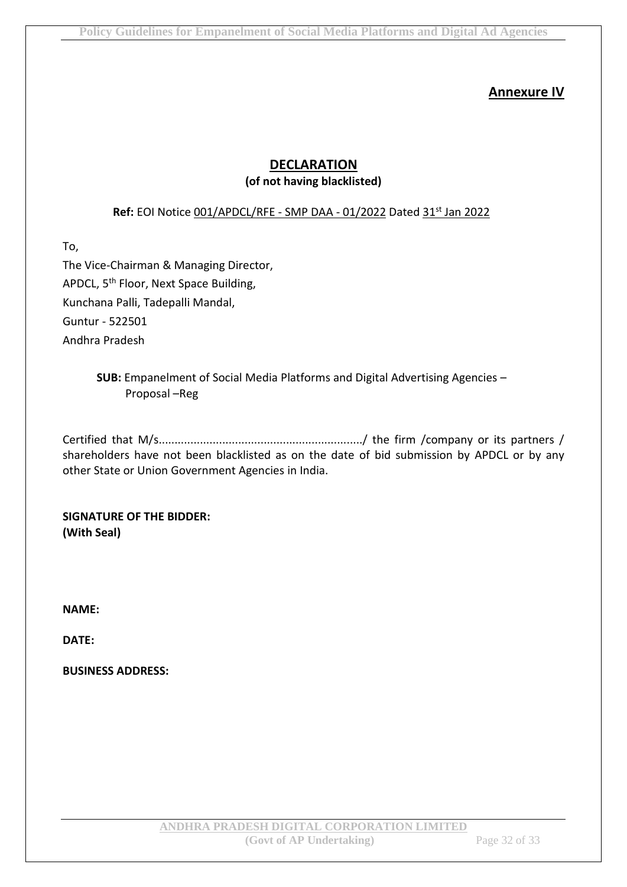#### **Annexure IV**

#### **DECLARATION (of not having blacklisted)**

#### **Ref:** EOI Notice 001/APDCL/RFE - SMP DAA - 01/2022 Dated 31st Jan 2022

To,

The Vice-Chairman & Managing Director, APDCL, 5<sup>th</sup> Floor, Next Space Building, Kunchana Palli, Tadepalli Mandal, Guntur - 522501 Andhra Pradesh

#### **SUB:** Empanelment of Social Media Platforms and Digital Advertising Agencies – Proposal –Reg

Certified that M/s................................................................/ the firm /company or its partners / shareholders have not been blacklisted as on the date of bid submission by APDCL or by any other State or Union Government Agencies in India.

**SIGNATURE OF THE BIDDER: (With Seal)**

**NAME:**

**DATE:**

**BUSINESS ADDRESS:**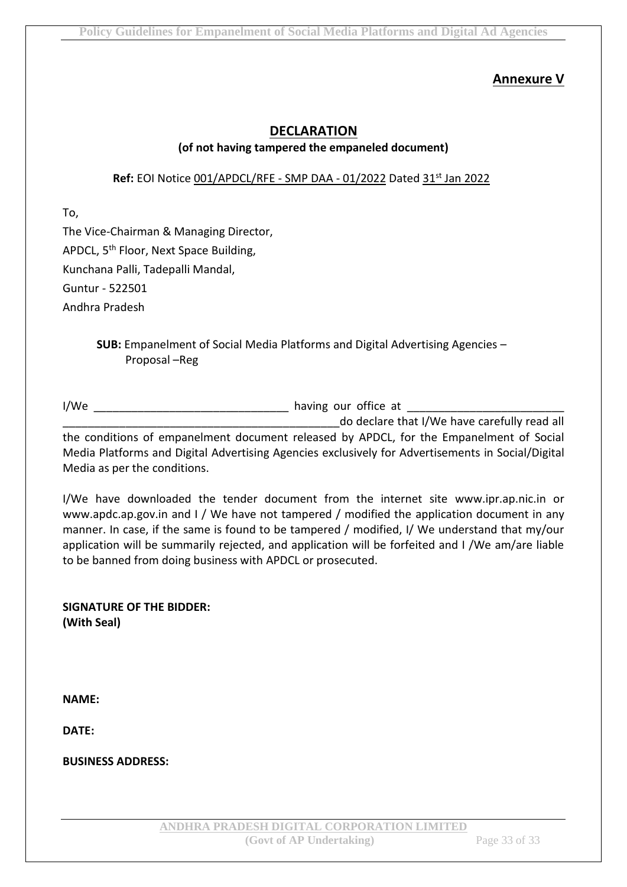#### **Annexure V**

#### **DECLARATION (of not having tampered the empaneled document)**

#### **Ref:** EOI Notice 001/APDCL/RFE - SMP DAA - 01/2022 Dated 31st Jan 2022

To,

The Vice-Chairman & Managing Director, APDCL, 5<sup>th</sup> Floor, Next Space Building, Kunchana Palli, Tadepalli Mandal, Guntur - 522501 Andhra Pradesh

> **SUB:** Empanelment of Social Media Platforms and Digital Advertising Agencies – Proposal –Reg

I/We \_\_\_\_\_\_\_\_\_\_\_\_\_\_\_\_\_\_\_\_\_\_\_\_\_\_\_\_\_\_\_ having our office at \_\_\_\_\_\_\_\_\_\_\_\_\_\_\_\_\_\_\_\_\_\_\_\_\_

do declare that I/We have carefully read all the conditions of empanelment document released by APDCL, for the Empanelment of Social Media Platforms and Digital Advertising Agencies exclusively for Advertisements in Social/Digital Media as per the conditions.

I/We have downloaded the tender document from the internet site www.ipr.ap.nic.in or www.apdc.ap.gov.in and I / We have not tampered / modified the application document in any manner. In case, if the same is found to be tampered / modified, I/ We understand that my/our application will be summarily rejected, and application will be forfeited and I /We am/are liable to be banned from doing business with APDCL or prosecuted.

**SIGNATURE OF THE BIDDER: (With Seal)**

**NAME:**

**DATE:**

**BUSINESS ADDRESS:**